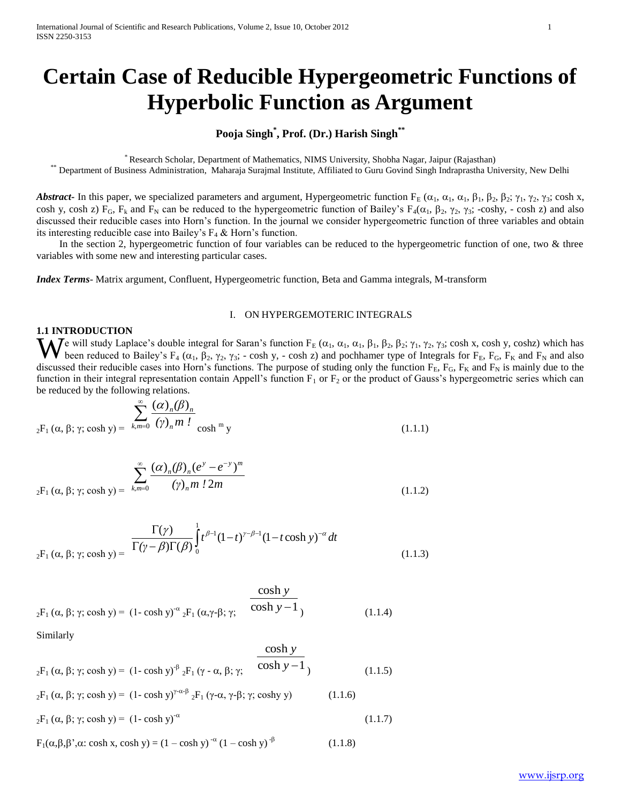# **Certain Case of Reducible Hypergeometric Functions of Hyperbolic Function as Argument**

# **Pooja Singh\* , Prof. (Dr.) Harish Singh\*\***

\* Research Scholar, Department of Mathematics, NIMS University, Shobha Nagar, Jaipur (Rajasthan)

\*\* Department of Business Administration, Maharaja Surajmal Institute, Affiliated to Guru Govind Singh Indraprastha University, New Delhi

*Abstract* In this paper, we specialized parameters and argument, Hypergeometric function  $F_E(\alpha_1, \alpha_1, \alpha_1, \beta_1, \beta_2, \beta_2; \gamma_1, \gamma_2, \gamma_3; \cosh x,$ cosh y, cosh z) F<sub>G</sub>, F<sub>k</sub> and F<sub>N</sub> can be reduced to the hypergeometric function of Bailey's F<sub>4</sub>( $\alpha_1$ ,  $\beta_2$ ,  $\gamma_2$ ,  $\gamma_3$ ; -coshy, - cosh z) and also discussed their reducible cases into Horn's function. In the journal we consider hypergeometric function of three variables and obtain its interesting reducible case into Bailey's  $F_4 \&$  Horn's function.

In the section 2, hypergeometric function of four variables can be reduced to the hypergeometric function of one, two & three variables with some new and interesting particular cases.

*Index Terms*- Matrix argument, Confluent, Hypergeometric function, Beta and Gamma integrals, M-transform

# I. ON HYPERGEMOTERIC INTEGRALS

# **1.1 INTRODUCTION**

We will study Laplace's double integral for Saran's function  $F_E(\alpha_1, \alpha_1, \alpha_1, \beta_1, \beta_2, \beta_2; \gamma_1, \gamma_2, \gamma_3$ ; cosh x, cosh y, coshz) which has been reduced to Bailey's  $F_4(\alpha_1, \beta_2, \gamma_2, \gamma_3; -\cosh y, -\cosh z)$  and pochhamer been reduced to Bailey's F<sub>4</sub> ( $\alpha_1$ ,  $\beta_2$ ,  $\gamma_2$ ,  $\gamma_3$ ; - cosh y, - cosh z) and pochhamer type of Integrals for F<sub>E</sub>, F<sub>G</sub>, F<sub>K</sub> and F<sub>N</sub> and also discussed their reducible cases into Horn's functions. The purpose of studing only the function  $F_E$ ,  $F_G$ ,  $F_K$  and  $F_N$  is mainly due to the function in their integral representation contain Appell's function  $F_1$  or  $F_2$  or the product of Gauss's hypergeometric series which can be reduced by the following relations.

$$
\sum_{2}^{\infty} \frac{(\alpha)_n (\beta)_n}{(\gamma)_n m!}
$$
\n
$$
_{2}F_1(\alpha, \beta; \gamma; \cosh y) = \sum_{k,m=0}^{\infty} \frac{(\alpha)_n (\beta)_n}{(\gamma)_n m!} \cosh^m y
$$
\n(1.1.1)

$$
\sum_{2\text{F}_1\,(\alpha,\,\beta;\,\gamma;\,\cosh y)=\,\frac{\sum_{k,m=0}^{\infty}\,(\alpha)_n(\beta)_n(e^y-e^{-y})^m}{(\gamma)_n m\,! 2m}\tag{1.1.2}
$$

$$
\frac{\Gamma(\gamma)}{\Gamma(\gamma - \beta)\Gamma(\beta)} \int_{0}^{1} t^{\beta - 1} (1 - t \cosh y)^{-\alpha} dt
$$
\n
$$
_{2}F_{1}(\alpha, \beta; \gamma; \cosh y) = \frac{\Gamma(\gamma)}{\Gamma(\gamma - \beta)\Gamma(\beta)} \int_{0}^{1} t^{\beta - 1} (1 - t \cosh y)^{-\alpha} dt
$$
\n(1.1.3)

$$
\frac{\cosh y}{2^{\mathcal{F}_1}(\alpha, \beta; \gamma; \cosh y)} = (1 - \cosh y)^{-\alpha} {}_2\mathcal{F}_1(\alpha, \gamma \cdot \beta; \gamma; \frac{\cosh y}{\cosh y - 1})
$$
(1.1.4)

Similarly

$$
{}_{2}F_{1} \left(\alpha, \beta; \gamma; \cosh y\right) = \left(1 - \cosh y\right)^{\beta} {}_{2}F_{1} \left(\gamma - \alpha, \beta; \gamma\right) \frac{\cosh y}{\cosh y - 1}
$$
\n
$$
\tag{1.1.5}
$$

$$
{}_{2}F_{1} \left( \alpha, \beta; \gamma; \cosh y \right) = (1 - \cosh y)^{\gamma - \alpha + \beta} {}_{2}F_{1} \left( \gamma - \alpha, \gamma - \beta; \gamma; \cosh y \right) \tag{1.1.6}
$$

$$
{}_{2}F_{1} (\alpha, \beta; \gamma; \cosh y) = (1 - \cosh y)^{-\alpha}
$$
 (1.1.7)

$$
F_1(\alpha, \beta, \beta', \alpha; \cosh x, \cosh y) = (1 - \cosh y)^{-\alpha} (1 - \cosh y)^{-\beta}
$$
 (1.1.8)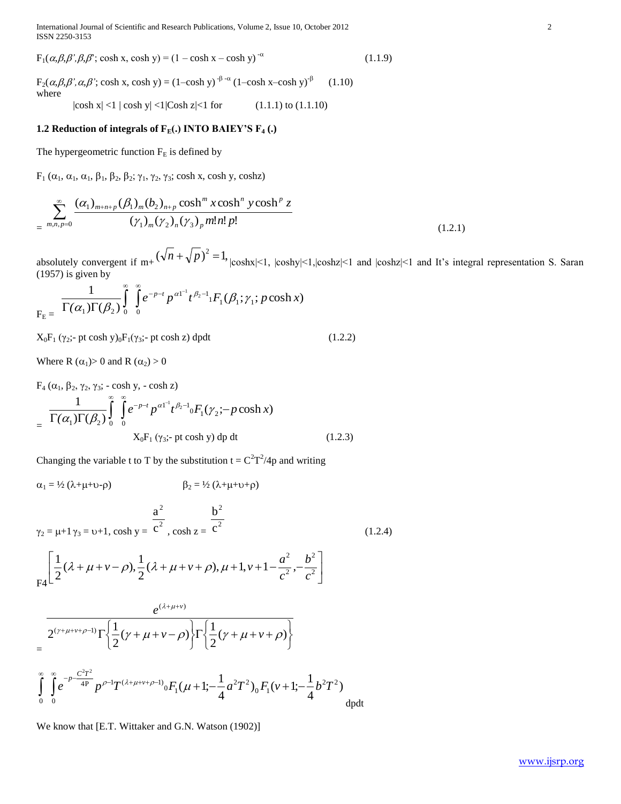International Journal of Scientific and Research Publications, Volume 2, Issue 10, October 2012 2 ISSN 2250-3153

 $F_1(\alpha, \beta, \beta', \beta, \beta')$ ; cosh x, cosh y) =  $(1 - \cosh x - \cosh y)^{-\alpha}$  $(1.1.9)$ 

 $F_2(\alpha, \beta, \beta', \alpha, \beta'; \cosh x, \cosh y) = (1-\cosh y)^{-\beta-\alpha} (1-\cosh x-\cosh y)^{-\beta}$ (1.10) where

 $|\cosh x| < 1 |\cosh y| < 1 |\cosh z| < 1$  for (1.1.1) to (1.1.10)

# **1.2 Reduction of integrals of FE(.) INTO BAIEY'S F<sup>4</sup> (.)**

The hypergeometric function  $F_E$  is defined by

 $F_1$  ( $\alpha_1$ ,  $\alpha_1$ ,  $\beta_1$ ,  $\beta_2$ ,  $\beta_2$ ;  $\gamma_1$ ,  $\gamma_2$ ,  $\gamma_3$ ; cosh x, cosh y, coshz)

$$
\sum_{m,n,p=0}^{\infty} \frac{(\alpha_1)_{m+n+p} (\beta_1)_m (b_2)_{n+p} \cosh^m x \cosh^n y \cosh^p z}{(\gamma_1)_m (\gamma_2)_n (\gamma_3)_p m! n! p!}
$$
\n(1.2.1)

absolutely convergent if  $m + (\sqrt{n} + \sqrt{p})^2 = 1$ ,  $|coshx| \le 1$ ,  $|coshx| \le 1$ ,  $|coshx| \le 1$  and  $|coshx| \le 1$  and It's integral representation S. Saran  $(1957)$  is given by

$$
F_{\rm E} = \frac{1}{\Gamma(\alpha_1)\Gamma(\beta_2)}\int_{0}^{\infty}\int_{0}^{\infty}e^{-p-t}p^{\alpha 1-t}t^{\beta_2-1}F_1(\beta_1;\gamma_1;p\cosh x)
$$

 $X_0F_1(\gamma_2; -pt \cosh y)_0F_1(\gamma_3; -pt \cosh z) \, dpdt$  (1.2.2)

Where R  $(\alpha_1) > 0$  and R  $(\alpha_2) > 0$ 

 $F_4$  (α<sub>1</sub>, β<sub>2</sub>, γ<sub>2</sub>, γ<sub>3</sub>; - cosh y, - cosh z)

$$
= \frac{1}{\Gamma(\alpha_1)\Gamma(\beta_2)} \int_{0}^{\infty} \int_{0}^{\infty} e^{-p-t} p^{\alpha 1-t} t^{\beta_2-t} 0 F_1(\gamma_2; -p \cosh x)
$$
  
 
$$
X_0 F_1(\gamma_3; -pt \cosh y) dp dt
$$
 (1.2.3)

Changing the variable t to T by the substitution  $t = C^2T^2/4p$  and writing

$$
\alpha_1 = \frac{1}{2} (\lambda + \mu + \nu - \rho) \qquad \beta_2 = \frac{1}{2} (\lambda + \mu + \nu + \rho)
$$
  

$$
\gamma_2 = \mu + 1 \gamma_3 = \nu + 1, \cosh y = \frac{a^2}{c^2}, \cosh z = \frac{b^2}{c^2}
$$
(1.2.4)

$$
\mathsf{F4}\left[\frac{1}{2}(\lambda+\mu+\nu-\rho),\frac{1}{2}(\lambda+\mu+\nu+\rho),\mu+1,\nu+1-\frac{a^2}{c^2},-\frac{b^2}{c^2}\right]
$$

$$
= \frac{e^{(\lambda+\mu+v)}}{2^{(\gamma+\mu+v+\rho-1)}\Gamma\left\{\frac{1}{2}(\gamma+\mu+v-\rho)\right\}\Gamma\left\{\frac{1}{2}(\gamma+\mu+v+\rho)\right\}}\\=\int_{0}^{\infty}\int_{0}^{\infty}e^{-p-\frac{C^{2}T^{2}}{4P}}p^{\rho-1}T^{(\lambda+\mu+v+\rho-1)}\sigma F_{1}(\mu+1;-\frac{1}{4}a^{2}T^{2})_{0}F_{1}(v+1;-\frac{1}{4}b^{2}T^{2})_{\text{dpt}}
$$

We know that [E.T. Wittaker and G.N. Watson (1902)]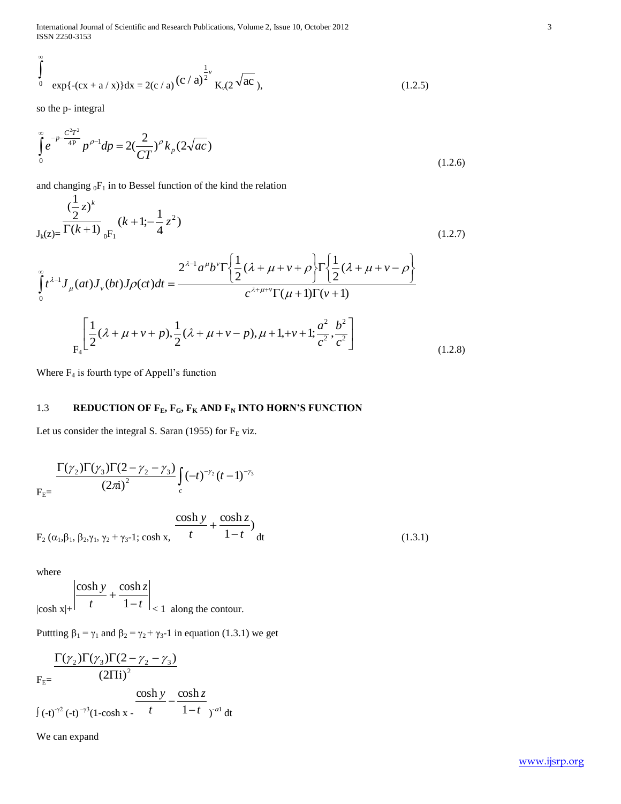International Journal of Scientific and Research Publications, Volume 2, Issue 10, October 2012 3 ISSN 2250-3153

$$
\int_{0}^{\pi} \exp\{-(cx + a/x)\} dx = 2(c/a) (c/a)^{\frac{1}{2}\nu} K_{\nu}(2\sqrt{ac}), \qquad (1.2.5)
$$

so the p- integral

 $\infty$ 

$$
\int_{0}^{\infty} e^{-p\frac{C^{2}T^{2}}{4P}} p^{\rho-1} dp = 2\left(\frac{2}{CT}\right)^{\rho} k_{p} (2\sqrt{ac})
$$
\n(1.2.6)

and changing  ${}_0F_1$  in to Bessel function of the kind the relation

$$
\int_{0}^{1} \exp\{-(cx + a/x)\} dx = 2(c/a) (c/a)^{\frac{1}{2}x} K_{n}(2\sqrt{ac}),
$$
\n(1.2.5)  
\nso the p- integral  
\nso the p- integral  
\n
$$
\int_{0}^{c} e^{-\frac{C\gamma^{2}}{4}} \rho^{\rho-1} d\rho = 2(\frac{2}{CT})^{\rho} k_{\rho} (2\sqrt{ac})
$$
\n(1.2.6)  
\nand changing  $gF_1$  in to Bessel function of the kind the relation  
\n
$$
(\frac{1}{2}z)^{k}
$$
\n
$$
J_{k}(z) = \Gamma(k+1) \int_{0}^{z} f_{k}(z) \int_{0}^{z} f_{k}(z) \int_{0}^{z} f_{k}(z) \int_{0}^{z} f_{k}(z) \int_{0}^{z} f_{k}(z) \int_{0}^{z} f_{k}(z) \int_{0}^{z} f_{k}(z) \int_{0}^{z} f_{k}(z) \int_{0}^{z} f_{k}(z) \int_{0}^{z} f_{k}(z) \int_{0}^{z} f_{k}(z) \int_{0}^{z} f_{k}(z) \int_{0}^{z} f_{k}(z) \int_{0}^{z} f_{k}(z) \int_{0}^{z} f_{k}(z) \int_{0}^{z} f_{k}(z) \int_{0}^{z} f_{k}(z) \int_{0}^{z} f_{k}(z) \int_{0}^{z} f_{k}(z) \int_{0}^{z} f_{k}(z) \int_{0}^{z} f_{k}(z) \int_{0}^{z} f_{k}(z) \int_{0}^{z} f_{k}(z) \int_{0}^{z} f_{k}(z) \int_{0}^{z} f_{k}(z) \int_{0}^{z} f_{k}(z) \int_{0}^{z} f_{k}(z) \int_{0}^{z} f_{k}(z) \int_{0}^{z} f_{k}(z) \int_{0}^{z} f_{k}(z) \int_{0}^{z} f_{k}(z) \int_{0}^{z} f_{k}(z) \int_{0}^{z} f_{k}(z) \int_{0}^{z} f_{k}(z) \int_{0}^{z} f_{k}(z) \int_{0}^{z} f_{k}(z) \int_{0}^{z} f_{k}(z) \int_{0}^{z} f_{k}(z) \int_{0}^{
$$

Where  $F_4$  is fourth type of Appell's function

# 1.3 **REDUCTION OF F**<sub>E</sub>**, F**<sub>G</sub>**, F**<sub>K</sub> **AND F**<sub>N</sub> **INTO HORN'S FUNCTION**

Let us consider the integral S. Saran (1955) for  $F_E$  viz.

$$
\frac{\Gamma(\gamma_2)\Gamma(\gamma_3)\Gamma(2-\gamma_2-\gamma_3)}{(2\pi i)^2}\int_c (-t)^{-\gamma_2}(t-1)^{-\gamma_3}
$$

$$
F_2(\alpha_1, \beta_1, \beta_2, \gamma_1, \gamma_2 + \gamma_3 - 1; \cosh x, \frac{\cosh y}{t} + \frac{\cosh z}{1 - t} ) dt
$$
 (1.3.1)

where

$$
\left|\frac{\cosh y}{t} + \frac{\cosh z}{1-t}\right|_{< 1} \text{ along the contour.}
$$

Puttting  $\beta_1 = \gamma_1$  and  $\beta_2 = \gamma_2 + \gamma_3$ -1 in equation (1.3.1) we get

$$
\frac{\Gamma(\gamma_2)\Gamma(\gamma_3)\Gamma(2-\gamma_2-\gamma_3)}{(2\Pi i)^2}
$$
\n
$$
\int (-t)^{\gamma_2} (-t)^{\gamma_3} (1-\cosh x) \frac{\cosh y}{t} - \frac{\cosh z}{1-t} dt
$$

We can expand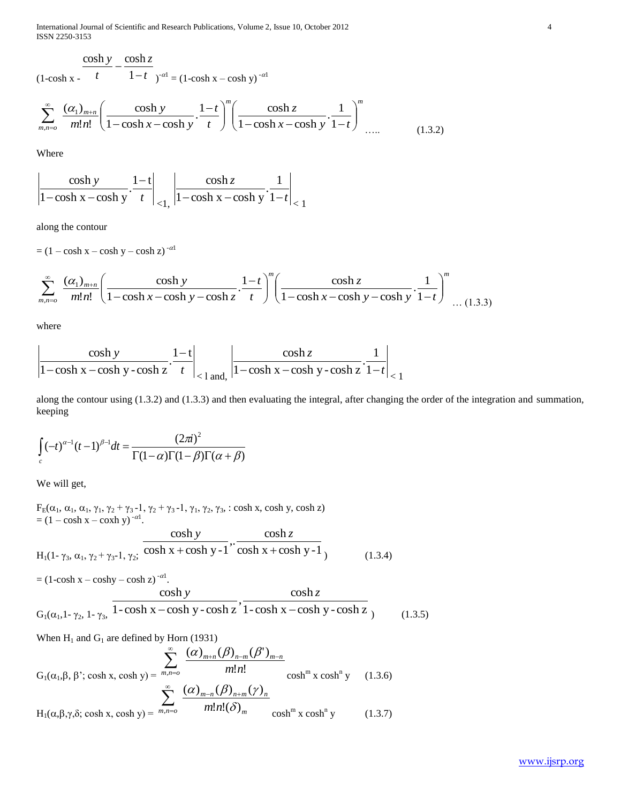International Journal of Scientific and Research Publications, Volume 2, Issue 10, October 2012 4 ISSN 2250-3153

 $(1-cosh x - )$  $t = 1-t$   $e^{-\alpha t} = (1-\cosh x - \cosh y)^{-\alpha t}$  $\frac{\cosh y}{\cosh z} - \frac{\cosh z}{\cosh z}$ 

$$
\sum_{m,n=0}^{\infty} \frac{(a_1)_{m+n}}{m!n!} \left( \frac{\cosh y}{1-\cosh x - \cosh y} \cdot \frac{1-t}{t} \right)^m \left( \frac{\cosh z}{1-\cosh x - \cosh y} \cdot \frac{1}{1-t} \right)^m \dots \tag{1.3.2}
$$

Where

$$
\left|\frac{\cosh y}{1-\cosh x-\cosh y}\cdot\frac{1-t}{t}\right|_{<1,}\left|\frac{\cosh z}{1-\cosh x-\cosh y}\cdot\frac{1}{1-t}\right|_{<1}
$$

along the contour

 $=$   $(1 - \cosh x - \cosh y - \cosh z)^{-\alpha}$ 

$$
\sum_{m,n=0}^{\infty} \frac{(\alpha_1)_{m+n}}{m!n!} \left( \frac{\cosh y}{1-\cosh x-\cosh y-\cosh z} \cdot \frac{1-t}{t} \right)^m \left( \frac{\cosh z}{1-\cosh x-\cosh y-\cosh y} \cdot \frac{1}{1-t} \right)^m \dots (1.3.3)
$$

where

$$
\left|\frac{\cosh y}{1-\cosh x-\cosh y-\cosh z}\cdot\frac{1-t}{t}\right|_{\leq 1 \text{ and,}} \left|\frac{\cosh z}{1-\cosh x-\cosh y-\cosh z}\cdot\frac{1}{1-t}\right|_{\leq 1}
$$

along the contour using (1.3.2) and (1.3.3) and then evaluating the integral, after changing the order of the integration and summation, keeping

$$
\int_{c} (-t)^{\alpha-1} (t-1)^{\beta-1} dt = \frac{(2\pi i)^2}{\Gamma(1-\alpha)\Gamma(1-\beta)\Gamma(\alpha+\beta)}
$$

We will get,

 $F_E(\alpha_1, \alpha_1, \alpha_1, \gamma_1, \gamma_2 + \gamma_3 - 1, \gamma_2 + \gamma_3 - 1, \gamma_1, \gamma_2, \gamma_3, : \cosh x, \cosh y, \cosh z)$  $=$   $(1 - \cosh x - \cosh y)^{-\alpha}$ .  $H_1(1-\gamma_3, \alpha_1, \gamma_2+\gamma_3-1, \gamma_2; \cosh x + \cosh y - 1 \cosh x + \cosh y - 1$  $\frac{\cosh \theta}{1}$  $cosh x + cosh y -1$ cosh  $+\cosh y - 1$ " cosh x + *y*  $\cosh z$  $(1.3.4)$ 

$$
= (1-\cosh x - \cosh y - \cosh z)^{-\alpha!}.
$$
  
\n
$$
\cosh y - \cosh z
$$
  
\n
$$
G_1(\alpha_1, 1-\gamma_2, 1-\gamma_3, 1-\cosh x - \cosh y - \cosh z)
$$
  
\n
$$
\cosh z - \cosh x - \cosh y - \cosh z
$$
  
\n
$$
(1.3.5)
$$

When H<sub>1</sub> and G<sub>1</sub> are defined by Horn (1931)  
\n
$$
\sum_{m,n=0}^{\infty} \frac{(\alpha)_{m+n}(\beta)_{n-m}(\beta')_{m-n}}{m!n!}
$$
\n
$$
G_1(\alpha_1, \beta, \beta'; \cosh x, \cosh y) = \sum_{m,n=0}^{\infty} \frac{(\alpha)_{m-n}(\beta)_{n+m}(\gamma)_n}{m!n! (\delta)_m}
$$
\n
$$
H_1(\alpha, \beta, \gamma, \delta; \cosh x, \cosh y) = \sum_{m,n=0}^{\infty} \frac{(\alpha)_{m-n}(\beta)_{n+m}(\gamma)_n}{m!n! (\delta)_m}
$$
\n
$$
\cosh^m x \cosh^m y \qquad (1.3.7)
$$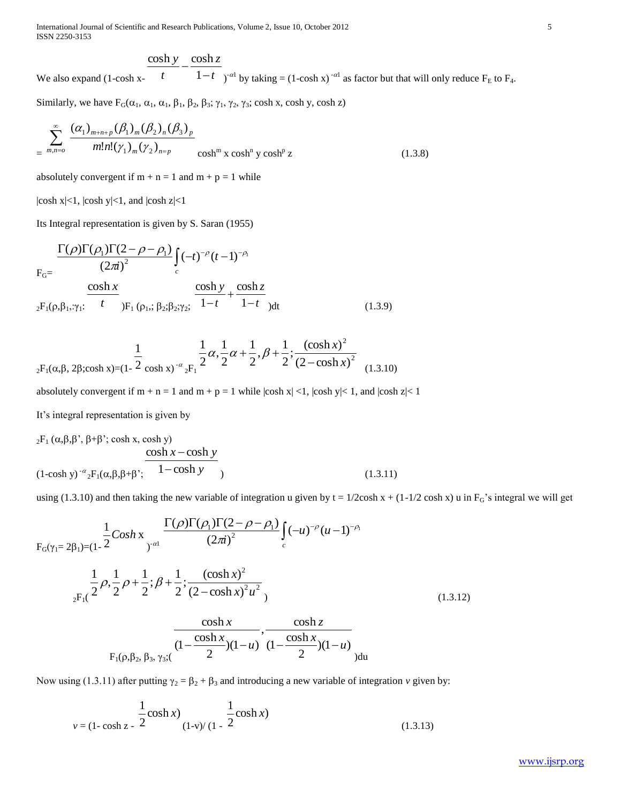International Journal of Scientific and Research Publications, Volume 2, Issue 10, October 2012 5 ISSN 2250-3153

$$
\frac{\cosh y}{1} - \frac{\cosh z}{1}
$$

We also expand (1-cosh x*t t*  $1-t$  )<sup>- $\alpha$ l</sup> by taking = (1-cosh x)<sup>- $\alpha$ l</sup> as factor but that will only reduce F<sub>E</sub> to F<sub>4</sub>.

Similarly, we have  $F_G(\alpha_1, \alpha_1, \alpha_1, \beta_1, \beta_2, \beta_3; \gamma_1, \gamma_2, \gamma_3; \cosh x, \cosh y, \cosh z)$ 

$$
\sum_{m,n=0}^{\infty} \frac{(\alpha_1)_{m+n+p} (\beta_1)_m (\beta_2)_n (\beta_3)_p}{m! n! (\gamma_1)_m (\gamma_2)_{n=p}} \cosh^m x \cosh^n y \cosh^p z \qquad (1.3.8)
$$

absolutely convergent if  $m + n = 1$  and  $m + p = 1$  while

 $|\cosh x| < 1$ ,  $|\cosh y| < 1$ , and  $|\cosh z| < 1$ 

Its Integral representation is given by S. Saran (1955)

$$
F_{G} = \frac{\Gamma(\rho)\Gamma(\rho_1)\Gamma(2-\rho-\rho_1)}{(2\pi i)^2} \int_c (-t)^{-\rho} (t-1)^{-\rho_1}
$$
  
\n
$$
\frac{\cosh x}{2F_1(\rho,\beta_1,\gamma_1)} \frac{\cosh x}{t} \sum_{j \in \Gamma_1(\rho_1;\; \beta_2;\; \beta_2;\;\gamma_2;\; \frac{\cosh y}{1-t} + \frac{\cosh z}{1-t}}{\cosh z} \tag{1.3.9}
$$

$$
\frac{1}{2^{F_1(\alpha,\beta,\ 2\beta;\cosh x)=(1-\frac{1}{2}\cosh x)^{-\alpha}2^{F_1}}}\frac{1}{2}\alpha,\frac{1}{2}\alpha+\frac{1}{2},\beta+\frac{1}{2};\frac{(\cosh x)^2}{(2-\cosh x)^2}
$$
(1.3.10)

absolutely convergent if  $m + n = 1$  and  $m + p = 1$  while  $|\cosh x| < 1$ ,  $|\cosh y| < 1$ , and  $|\cosh z| < 1$ 

It's integral representation is given by

$$
{}_{2}F_{1} (\alpha, \beta, \beta', \beta+\beta'; \cosh x, \cosh y)
$$
  
\n
$$
\cosh x - \cosh y
$$
  
\n
$$
(1-\cosh y)^{-\alpha} {}_{2}F_{1}(\alpha, \beta, \beta+\beta'; \cosh y)
$$
  
\n
$$
(1.3.11)
$$

using (1.3.10) and then taking the new variable of integration u given by  $t = 1/2 \cosh x + (1-1/2 \cosh x)$  u in  $F_G$ 's integral we will get

$$
F_G(\gamma_1 = 2\beta_1) = (1 - \frac{1}{2} \cos h x) \frac{\Gamma(\rho) \Gamma(\rho_1) \Gamma(2 - \rho - \rho_1)}{(2\pi i)^2} \int_c (-u)^{-\rho} (u - 1)^{-\rho_1}
$$
  

$$
= \frac{1}{2} \rho \frac{1}{2} \rho + \frac{1}{2} ; \beta + \frac{1}{2} ; \frac{(\cosh x)^2}{(2 - \cosh x)^2 u^2}
$$
  

$$
= \frac{\cosh x}{\Gamma_1(\rho, \beta_2, \beta_3, \gamma_3;)} \frac{\cosh x}{(1 - \frac{\cosh x}{2})(1 - u)} \frac{\cosh z}{(1 - \frac{\cosh x}{2})(1 - u)}
$$
  

$$
= \frac{\cosh x}{2} \frac{\cosh x}{2} \frac{\cosh x}{2} \frac{\cosh x}{2} \frac{\cosh x}{2} \frac{\cosh x}{2} \frac{\cosh x}{2} \frac{\cosh x}{2} \frac{\cosh x}{2} \frac{\cosh x}{2} \frac{\cosh x}{2} \frac{\cosh x}{2} \frac{\cosh x}{2} \frac{\cosh x}{2} \frac{\cosh x}{2} \frac{\cosh x}{2} \frac{\cosh x}{2} \frac{\cosh x}{2} \frac{\cosh x}{2} \frac{\cosh x}{2} \frac{\cosh x}{2} \frac{\cosh x}{2} \frac{\cosh x}{2} \frac{\cosh x}{2} \frac{\cosh x}{2} \frac{\cosh x}{2} \frac{\cosh x}{2} \frac{\cosh x}{2} \frac{\cosh x}{2} \frac{\cosh x}{2} \frac{\cosh x}{2} \frac{\cosh x}{2} \frac{\cosh x}{2} \frac{\cosh x}{2} \frac{\cosh x}{2} \frac{\cosh x}{2} \frac{\cosh x}{2} \frac{\cosh x}{2} \frac{\cosh x}{2} \frac{\cosh x}{2} \frac{\cosh x}{2} \frac{\cosh x}{2} \frac{\cosh x}{2} \frac{\cosh x}{2} \frac{\cosh x}{2} \frac{\cosh x}{2} \frac{\cosh x}{2} \frac{\cosh x}{2} \frac{\cosh x}{2} \frac{\cosh x}{2} \frac{\cosh x}{2} \frac{\cosh x}{2} \frac{\cosh x}{2} \frac{\cosh x}{2} \frac{\cosh x}{2} \frac{\cosh x}{2} \
$$

Now using (1.3.11) after putting  $\gamma_2 = \beta_2 + \beta_3$  and introducing a new variable of integration *v* given by:

$$
\frac{1}{v} = (1 - \cosh z) - \frac{1}{2} \cosh x
$$
\n
$$
(1 - v)/(1 - 2 \cosh x) \tag{1.3.13}
$$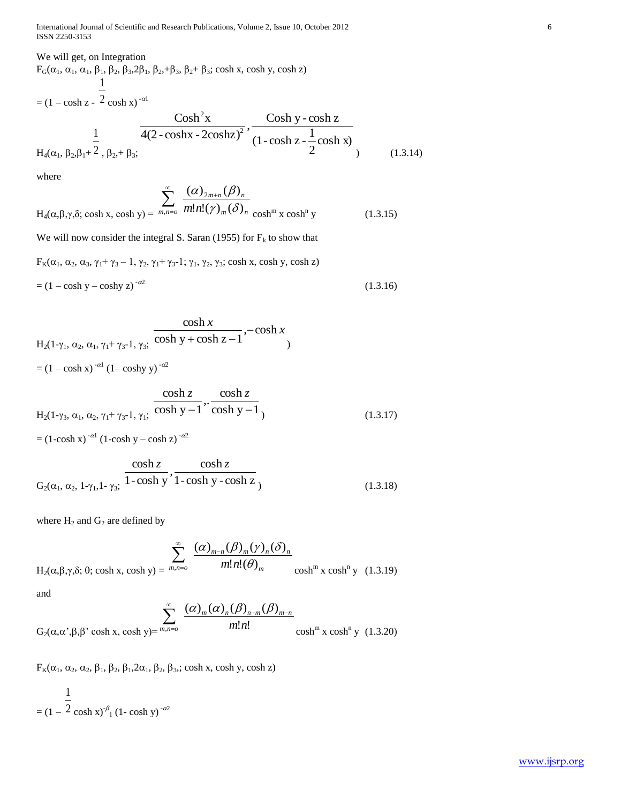International Journal of Scientific and Research Publications, Volume 2, Issue 10, October 2012 6 ISSN 2250-3153

# We will get, on Integration

 $F_G(\alpha_1, \alpha_1, \alpha_1, \beta_1, \beta_2, \beta_3, 2\beta_1, \beta_2, +\beta_3, \beta_2 + \beta_3; \cosh x, \cosh y, \cosh z)$  $= (1 - \cosh z - 2 \cosh x)^{-\alpha}$ 1  $H_4(\alpha_1, \beta_2, \beta_1 + 2)$ 1 ,  $\beta_{2}$ , +  $\beta_{3}$ ; cosh x) 2  $(1-\cosh z - \frac{1}{2})$  $\frac{\cosh y - \cosh z}{1}$ 4(2 - coshx - 2coshz)  $\cosh^2 x$ 2 2  $(1.3.14)$ 

where

$$
H_4(\alpha, \beta, \gamma, \delta; \cosh x, \cosh y) = \sum_{m,n=0}^{\infty} \frac{(\alpha)_{2m+n} (\beta)_n}{m! n! (\gamma)_m (\delta)_n} \cosh^m x \cosh^n y \qquad (1.3.15)
$$

We will now consider the integral S. Saran (1955) for  $F_k$  to show that

 $F_K(\alpha_1, \alpha_2, \alpha_3, \gamma_1+\gamma_3-1, \gamma_2, \gamma_1+\gamma_3-1; \gamma_1, \gamma_2, \gamma_3$ ; cosh x, cosh y, cosh z)  $=$   $(1 - \cosh y - \cosh y z)^{-\alpha/2}$ (1.3.16)

$$
\frac{\cosh x}{H_2(1-\gamma_1, \alpha_2, \alpha_1, \gamma_1+\gamma_3-1, \gamma_3; \cosh y + \cosh z - 1}, -\cosh x}
$$
  
=  $(1 - \cosh x)^{-\alpha 1} (1 - \cosh y)^{-\alpha 2}$ 

$$
H_2(1-\gamma_3, \alpha_1, \alpha_2, \gamma_1+\gamma_3-1, \gamma_1; \frac{\cosh z}{\cosh y - 1}, \frac{\cosh z}{\cosh y - 1})
$$
 (1.3.17)

 $=$  (1-cosh x)<sup>- $\alpha$ 1</sup> (1-cosh y – cosh z)<sup>- $\alpha$ 2</sup>

$$
\frac{\cosh z}{G_2(\alpha_1, \alpha_2, 1-\gamma_1, 1-\gamma_3)} \cdot \frac{\cosh z}{1-\cosh y}, \frac{\cosh z}{1-\cosh y - \cosh z}
$$
 (1.3.18)

where  $H_2$  and  $G_2$  are defined by

$$
H_2(\alpha, \beta, \gamma, \delta; \theta; \cosh x, \cosh y) = \frac{\sum_{m,n=0}^{\infty} \frac{(\alpha)_{m-n} (\beta)_m (\gamma)_n (\delta)_n}{m! n! (\theta)_m} \cosh^m x \cosh^n y \quad (1.3.19)
$$

and

$$
G_2(\alpha, \alpha^*, \beta, \beta^* \cosh x, \cosh y) = {}^{m,n=o} \frac{\binom{\infty}{2m} (\alpha)_m (\beta)_{n-m} (\beta)_{m-n}}{m! n!} \cosh^m x \cosh^m y \quad (1.3.20)
$$

 $F_K(\alpha_1, \alpha_2, \alpha_2, \beta_1, \beta_2, \beta_1, 2\alpha_1, \beta_2, \beta_3)$ ; cosh x, cosh y, cosh z)

$$
= (1 - \frac{1}{2} \cosh x)^{-\beta} (1 - \cosh y)^{-\alpha 2}
$$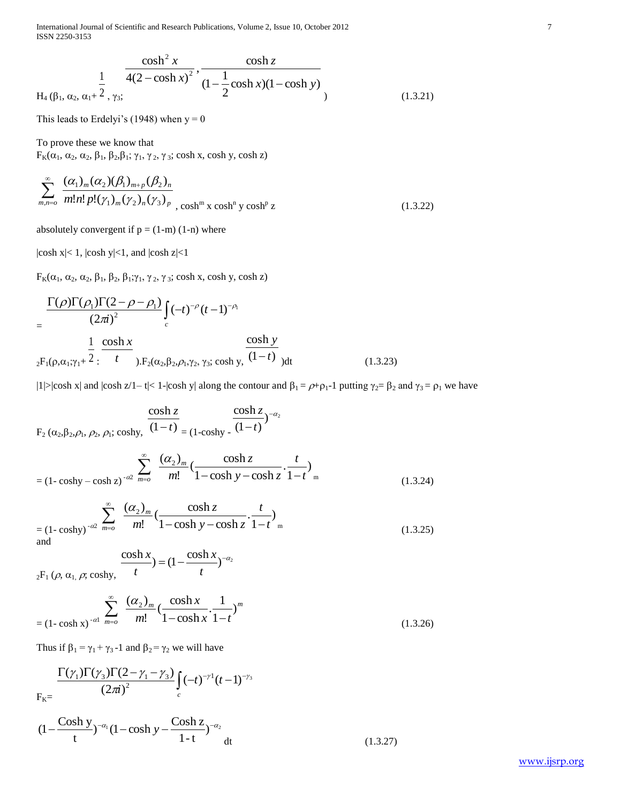International Journal of Scientific and Research Publications, Volume 2, Issue 10, October 2012 7 ISSN 2250-3153

$$
\frac{\cosh^2 x}{4(2-\cosh x)^2}, \frac{\cosh z}{(1-\frac{1}{2}\cosh x)(1-\cosh y)}
$$
  
H<sub>4</sub> ( $\beta_1$ ,  $\alpha_2$ ,  $\alpha_1 + \frac{1}{2}$ ,  $\gamma_3$ ; (1.3.21)

This leads to Erdelyi's (1948) when  $y = 0$ 

To prove these we know that  $F_K(\alpha_1, \alpha_2, \alpha_2, \beta_1, \beta_2, \beta_1; \gamma_1, \gamma_2, \gamma_3; \cosh x, \cosh y, \cosh z)$ 

$$
\sum_{m,n=0}^{\infty} \frac{(\alpha_1)_m (\alpha_2)(\beta_1)_{m+p} (\beta_2)_n}{m!n!p!(\gamma_1)_m (\gamma_2)_n (\gamma_3)_p}, \cosh^m x \cosh^p y \cosh^p z \qquad (1.3.22)
$$

absolutely convergent if  $p = (1-m)$  (1-n) where

 $|\cosh x| < 1$ ,  $|\cosh y| < 1$ , and  $|\cosh z| < 1$ 

 $F_K(\alpha_1, \alpha_2, \alpha_2, \beta_1, \beta_2, \beta_1; γ_1, γ_2, γ_3; cosh x, cosh y, cosh z)$ 

$$
= \frac{\Gamma(\rho)\Gamma(\rho_1)\Gamma(2-\rho-\rho_1)}{(2\pi i)^2} \int_c (-t)^{-\rho} (t-1)^{-\rho_1}
$$
  
= 
$$
\frac{1}{2F_1(\rho,\alpha_1;\gamma_1+2)} \frac{\cosh x}{t} \sum_{j,F_2(\alpha_2,\beta_2,\rho_1,\gamma_2,\gamma_3;\cosh y)} \frac{\cosh y}{(1-t)} dt
$$
 (1.3.23)

|1|>|cosh x| and |cosh z/1– t|< 1-|cosh y| along the contour and  $\beta_1 = \rho + \rho_1 - 1$  putting  $\gamma_2 = \beta_2$  and  $\gamma_3 = \rho_1$  we have

$$
\frac{\cosh z}{F_2(\alpha_2, \beta_2, \rho_1, \rho_2, \rho_1; \cosh y)} \cdot \frac{\cosh z}{(1-t)} = (1 - \cosh z)^{-\alpha_2}
$$
\n
$$
= (1 - \cosh y - \cosh z)^{-\alpha_2} \frac{\sum_{m=0}^{\infty} \frac{(\alpha_2)_m}{m!} (\frac{\cosh z}{1 - \cosh y - \cosh z}) \cdot \frac{t}{1-t}}{1 - \cosh y - \cosh z} \cdot \frac{1}{1-t} \text{ (1.3.24)}
$$
\n
$$
= (1 - \cosh y)^{-\alpha_2} \frac{\sum_{m=0}^{\infty} \frac{(\alpha_2)_m}{m!} (\frac{\cosh z}{1 - \cosh y - \cosh z}) \cdot \frac{t}{1-t}}{1 - \cosh y - \cosh z} \cdot \frac{1}{1-t} \text{ (1.3.25)}
$$
\n
$$
\frac{\cosh x}{1 - \cosh x} = (1 - \frac{\cosh x}{1 - \cosh x})^{-\alpha_2} \tag{1.3.25}
$$

 $_2F_1$  ( $\rho$ ,  $\alpha$ <sub>1,</sub>  $\rho$ ; coshy, *t*

$$
= (1 - \cosh x)^{-\alpha 1} \sum_{m=0}^{\infty} \frac{(\alpha_2)_m}{m!} \left(\frac{\cosh x}{1 - \cosh x} \cdot \frac{1}{1 - t}\right)^m
$$
\n(1.3.26)

 $(1.3.27)$ 

Thus if  $\beta_1 = \gamma_1 + \gamma_3 - 1$  and  $\beta_2 = \gamma_2$  we will have

$$
F_{K} = \frac{\Gamma(\gamma_1)\Gamma(\gamma_3)\Gamma(2-\gamma_1-\gamma_3)}{(2\pi i)^2} \int_c (-t)^{-\gamma_1} (t-1)^{-\gamma_3}
$$
  

$$
(1 - \frac{\cosh y}{t})^{-\alpha_1} (1 - \cosh y - \frac{\cosh z}{1-t})^{-\alpha_2} dt
$$

*t*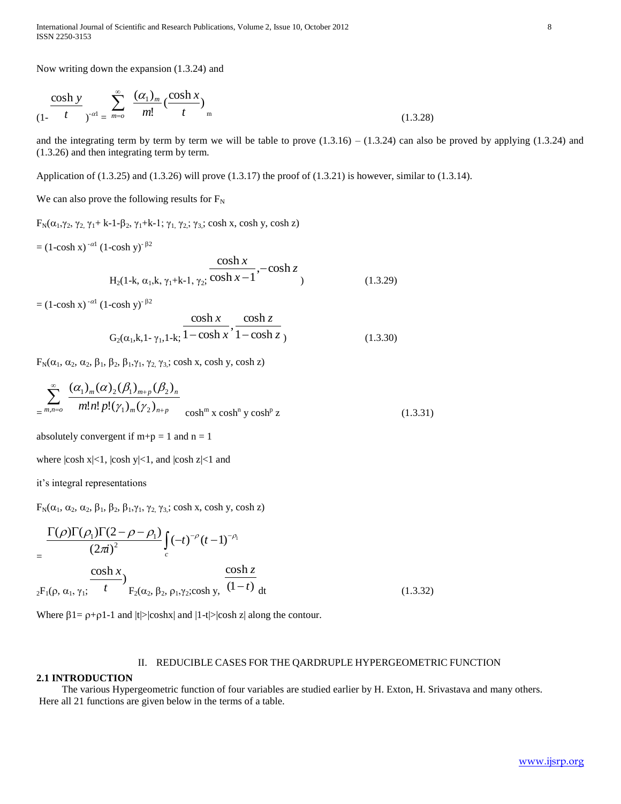Now writing down the expansion (1.3.24) and

$$
\frac{\cosh y}{(1 - t)^{-\alpha}} \sum_{j = m = 0}^{\infty} \frac{(\alpha_1)_m}{m!} \left(\frac{\cosh x}{t}\right)_m
$$
\n(1.3.28)

and the integrating term by term by term we will be table to prove  $(1.3.16) - (1.3.24)$  can also be proved by applying  $(1.3.24)$  and (1.3.26) and then integrating term by term.

Application of  $(1.3.25)$  and  $(1.3.26)$  will prove  $(1.3.17)$  the proof of  $(1.3.21)$  is however, similar to  $(1.3.14)$ .

We can also prove the following results for  $F_N$ 

 $F_N(\alpha_1,\gamma_2, \gamma_2, \gamma_1+k-1-\beta_2, \gamma_1+k-1; \gamma_1, \gamma_2; \gamma_3)$ ; cosh x, cosh y, cosh z)

 $= (1-\cosh x)^{-\alpha 1} (1-\cosh y)^{-\beta 2}$ 

$$
\frac{\cosh x}{\text{H}_2(1-\text{k}, \alpha_1,\text{k}, \gamma_1+\text{k-1}, \gamma_2)} \frac{\cosh x}{\cosh x - 1}, -\cosh z \tag{1.3.29}
$$

 $= (1-\cosh x)^{-\alpha 1} (1-\cosh y)^{-\beta 2}$ 

$$
\frac{\cosh x}{G_2(\alpha_1, k, 1 - \gamma_1, 1 - k; \frac{1 - \cosh x}{1 - \cosh x}, \frac{\cosh z}{1 - \cosh z})}
$$
(1.3.30)

 $F_N(\alpha_1, \alpha_2, \alpha_2, \beta_1, \beta_2, \beta_1, \gamma_1, \gamma_2, \gamma_3$ ; cosh x, cosh y, cosh z)

$$
\sum_{m,n=0}^{\infty} \frac{(a_1)_m (\alpha)_2 (\beta_1)_{m+p} (\beta_2)_n}{m! n! p! (\gamma_1)_m (\gamma_2)_{n+p}} \cosh^m x \cosh^n y \cosh^p z \qquad (1.3.31)
$$

absolutely convergent if  $m+p = 1$  and  $n = 1$ 

where  $|\cosh x| < 1$ ,  $|\cosh y| < 1$ , and  $|\cosh z| < 1$  and

it's integral representations

 $F_N(\alpha_1, \alpha_2, \alpha_2, \beta_1, \beta_2, \beta_1, \gamma_1, \gamma_2, \gamma_3; \cosh x, \cosh y, \cosh z)$ 

$$
= \frac{\Gamma(\rho)\Gamma(\rho_1)\Gamma(2-\rho-\rho_1)}{(2\pi i)^2} \int_c (-t)^{-\rho} (t-1)^{-\rho_1}
$$
  
=  $\frac{\cosh x}{2F_1(\rho, \alpha_1, \gamma_1; t)} \frac{\cosh x}{t} \Big|_{F_2(\alpha_2, \beta_2, \rho_1, \gamma_2; \cosh y, \frac{\cosh z}{(1-t)} dt}$  (1.3.32)

Where  $\beta$ 1=  $\rho$ + $\rho$ 1-1 and  $|t|$ > $|coshx|$  and  $|1-t|$ > $|cosh z|$  along the contour.

#### II. REDUCIBLE CASES FOR THE QARDRUPLE HYPERGEOMETRIC FUNCTION

#### **2.1 INTRODUCTION**

 The various Hypergeometric function of four variables are studied earlier by H. Exton, H. Srivastava and many others. Here all 21 functions are given below in the terms of a table.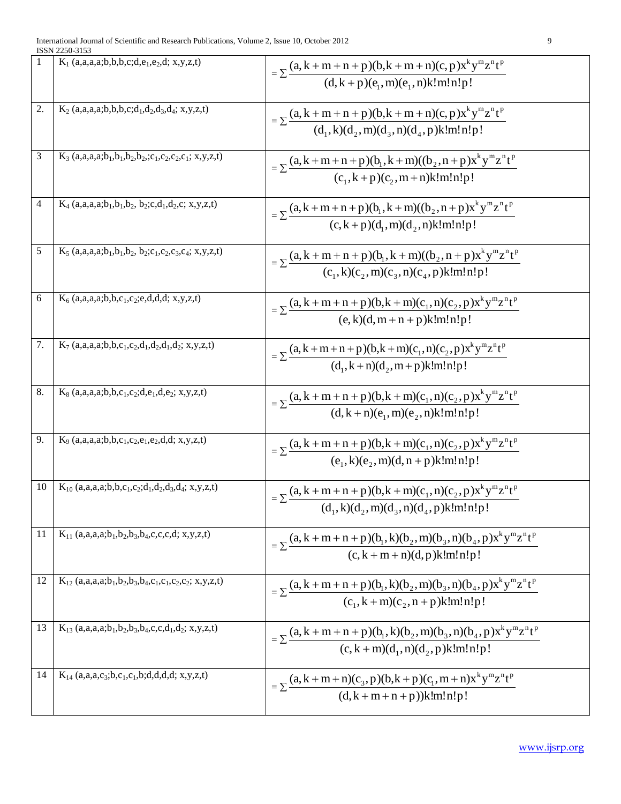| 1  | $K_1$ (a,a,a,a;b,b,b,c;d,e <sub>1</sub> ,e <sub>2</sub> ,d; x,y,z,t)                                                                                        | $= \sum \frac{(a, k + m + n + p)(b, k + m + n)(c, p)x^{k}y^{m}z^{n}t^{p}}{(d, k + p)(e, m)(e, n)k!m!n!p!}$                                                               |
|----|-------------------------------------------------------------------------------------------------------------------------------------------------------------|--------------------------------------------------------------------------------------------------------------------------------------------------------------------------|
| 2. | $K_2$ (a,a,a,a;b,b,b,c;d <sub>1</sub> ,d <sub>2</sub> ,d <sub>3</sub> ,d <sub>4</sub> ; x,y,z,t)                                                            | $=\sum \frac{(a, k+m+n+p)(b, k+m+n)(c, p)x^{k}y^{m}z^{n}t^{p}}{(d_{1}, k)(d_{2}, m)(d_{3}, n)(d_{4}, p)k!m!n!p!}$                                                        |
| 3  | $K_3$ (a,a,a,a;b <sub>1</sub> ,b <sub>1</sub> ,b <sub>2</sub> ,b <sub>2</sub> ,;c <sub>1</sub> ,c <sub>2</sub> ,c <sub>2</sub> ,c <sub>1</sub> ; x,y,z,t)   | $= \sum \frac{(a, k + m + n + p)(b_1, k + m)((b_2, n + p)x^k y^m z^n t^p)}{(c_1, k + p)(c_2, m + n)k!m!n!p!}$                                                            |
| 4  | $K_4$ (a,a,a,a;b <sub>1</sub> ,b <sub>1</sub> ,b <sub>2</sub> , b <sub>2</sub> ;c,d <sub>1</sub> ,d <sub>2</sub> ,c; x,y,z,t)                               | $= \sum \frac{(a, k + m + n + p)(b_1, k + m)((b_2, n + p)x^k y^m z^n t^p)}{(c, k + p)(d_1, m)(d_2, n)k!m!n!p!}$                                                          |
| 5  | $K_5$ (a,a,a,a;b <sub>1</sub> ,b <sub>1</sub> ,b <sub>2</sub> , b <sub>2</sub> ;c <sub>1</sub> ,c <sub>2</sub> ,c <sub>3</sub> ,c <sub>4</sub> ; x,y,z,t)   | $= \sum \frac{(a, k + m + n + p)(b_1, k + m)((b_2, n + p)x^k y^m z^n t^p)}{(c_1, k)(c_2, m)(c_3, n)(c_4, p)k!m!n!p!}$                                                    |
| 6  | $K_6$ (a,a,a,a;b,b,c <sub>1</sub> ,c <sub>2</sub> ;e,d,d,d; x,y,z,t)                                                                                        | = $\sum$ (a, k + m + n + p)(b, k + m)(c <sub>1</sub> , n)(c <sub>2</sub> , p)x <sup>k</sup> y <sup>m</sup> z <sup>n</sup> t <sup>p</sup><br>(e, k)(d, m + n + p)k!m!n!p! |
| 7. | $K_7$ (a,a,a,a;b,b,c <sub>1</sub> ,c <sub>2</sub> ,d <sub>1</sub> ,d <sub>2</sub> ,d <sub>1</sub> ,d <sub>2</sub> ; x,y,z,t)                                | $= \sum \frac{(a, k + m + n + p)(b, k + m)(c_1, n)(c_2, p)x^k y^m z^n t^p}{(d_1, k + n)(d_2, m + p)k!m!n!p!}$                                                            |
| 8. | $K_8$ (a,a,a,a;b,b,c <sub>1</sub> ,c <sub>2</sub> ;d,e <sub>1</sub> ,d,e <sub>2</sub> ; x,y,z,t)                                                            | $= \sum \frac{(a, k + m + n + p)(b, k + m)(c_1, n)(c_2, p)x^k y^m z^n t^p}{(d, k + n)(e_1, m)(e_2, n)k! m! n! p!}$                                                       |
| 9. | $K_9$ (a,a,a,a;b,b,c <sub>1</sub> ,c <sub>2</sub> ,e <sub>1</sub> ,e <sub>2</sub> ,d,d; x,y,z,t)                                                            | $= \sum \frac{(a, k + m + n + p)(b, k + m)(c_1, n)(c_2, p)x^k y^m z^n t^p}{(e_1, k)(e_2, m)(d, n + p)k!m!n!p!}$                                                          |
| 10 | $K_{10}$ (a,a,a,a;b,b,c <sub>1</sub> ,c <sub>2</sub> ;d <sub>1</sub> ,d <sub>2</sub> ,d <sub>3</sub> ,d <sub>4</sub> ; x,y,z,t)                             | $=\sum \frac{(a, k+m+n+p)(b, k+m)(c_1, n)(c_2, p)x^k y^m z^n t^p}{(d_1, k)(d_2, m)(d_3, n)(d_4, p)k!m!n!p!}$                                                             |
| 11 | $K_{11}$ (a,a,a,a;b <sub>1</sub> ,b <sub>2</sub> ,b <sub>3</sub> ,b <sub>4</sub> ,c,c,c,d; x,y,z,t)                                                         | $= \sum \frac{(a, k + m + n + p)(b_1, k)(b_2, m)(b_3, n)(b_4, p)x^k y^m z^n t^p}{(c, k + m + n)(d, p)k!m!n!p!}$                                                          |
| 12 | $K_{12}$ (a,a,a,a;b <sub>1</sub> ,b <sub>2</sub> ,b <sub>3</sub> ,b <sub>4</sub> ,c <sub>1</sub> ,c <sub>1</sub> ,c <sub>2</sub> ,c <sub>2</sub> ; x,y,z,t) | $= \sum \frac{(a, k + m + n + p)(b_1, k)(b_2, m)(b_3, n)(b_4, p)x^k y^m z^n t^p}{(c_1, k + m)(c_2, n + p)k!m!n!p!}$                                                      |
| 13 | $K_{13}$ (a,a,a,a;b <sub>1</sub> ,b <sub>2</sub> ,b <sub>3</sub> ,b <sub>4</sub> ,c,c,d <sub>1</sub> ,d <sub>2</sub> ; x,y,z,t)                             | $=\sum \frac{(a, k + m + n + p)(b_1, k)(b_2, m)(b_3, n)(b_4, p)x^k y^m z^n t^p}{(c, k + m)(d_1, n)(d_2, p)k!m!n!p!}$                                                     |
| 14 | $K_{14}$ (a,a,a,c <sub>3</sub> ;b,c <sub>1</sub> ,c <sub>1</sub> ,b;d,d,d,d; x,y,z,t)                                                                       | $= \sum \frac{(a, k + m + n)(c_3, p)(b, k + p)(c_1, m + n)x^{k}y^{m}z^{n}t^{p}}{(d, k + m + n + p))k!m!n!p!}$                                                            |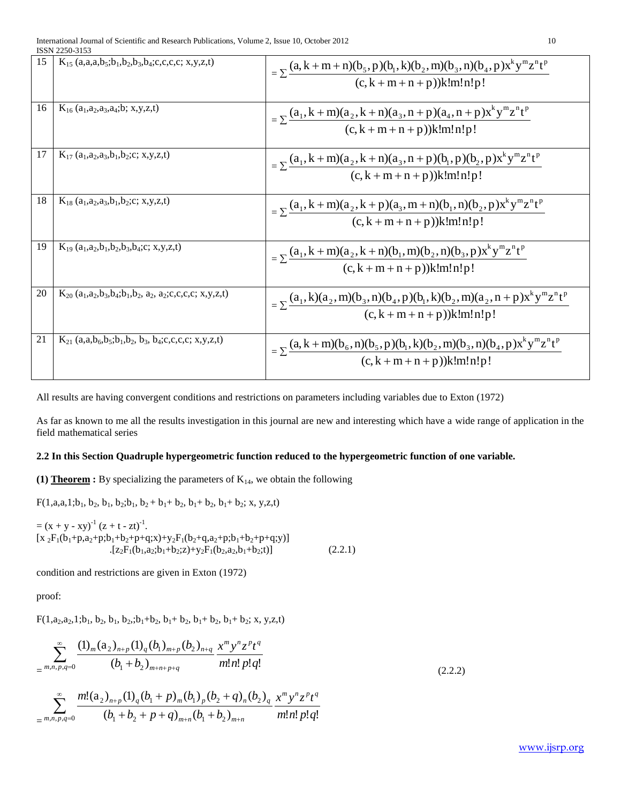|    | LOON 2230-3133                                                                                                                                                |                                                                                                                                  |  |  |
|----|---------------------------------------------------------------------------------------------------------------------------------------------------------------|----------------------------------------------------------------------------------------------------------------------------------|--|--|
| 15 | $K_{15}$ (a,a,a,b <sub>5</sub> ;b <sub>1</sub> ,b <sub>2</sub> ,b <sub>3</sub> ,b <sub>4</sub> ;c,c,c,c; x,y,z,t)                                             | $= \sum \frac{(a, k + m + n)(b_5, p)(b_1, k)(b_2, m)(b_3, n)(b_4, p)x^k y^m z^n t^p}{(c, k + m + n + p))k!m!n!p!}$               |  |  |
| 16 | $K_{16}$ (a <sub>1</sub> ,a <sub>2</sub> ,a <sub>3</sub> ,a <sub>4</sub> ;b; x,y,z,t)                                                                         | $= \sum \frac{(a_1, k+m)(a_2, k+n)(a_3, n+p)(a_4, n+p)x^k y^m z^n t^p}{(c, k+m+n+p))k!m!n!p!}$                                   |  |  |
| 17 | $K_{17}$ (a <sub>1</sub> ,a <sub>2</sub> ,a <sub>3</sub> ,b <sub>1</sub> ,b <sub>2</sub> ;c; x,y,z,t)                                                         | $= \sum \frac{(a_1, k+m)(a_2, k+n)(a_3, n+p)(b_1, p)(b_2, p)x^k y^m z^n t^p}{(c, k+m+n+p))k!m!n!p!}$                             |  |  |
| 18 | $K_{18}$ (a <sub>1</sub> ,a <sub>2</sub> ,a <sub>3</sub> ,b <sub>1</sub> ,b <sub>2</sub> ;c; x,y,z,t)                                                         | $=\sum_{i=1}^{\infty} \frac{(a_1, k+m)(a_2, k+p)(a_3, m+n)(b_1, n)(b_2, p)x^k y^m z^n t^p}{2m}$<br>$(c, k + m + n + p))k!m!n!p!$ |  |  |
| 19 | $K_{19}$ (a <sub>1</sub> ,a <sub>2</sub> ,b <sub>1</sub> ,b <sub>2</sub> ,b <sub>3</sub> ,b <sub>4</sub> ;c; x,y,z,t)                                         | $= \sum \frac{(a_1, k+m)(a_2, k+n)(b_1, m)(b_2, n)(b_3, p)x^k y^m z^n t^p}{(c, k+m+n+p))k!m!n!p!}$                               |  |  |
| 20 | $K_{20}$ (a <sub>1</sub> ,a <sub>2</sub> ,b <sub>3</sub> ,b <sub>4</sub> ;b <sub>1</sub> ,b <sub>2</sub> , a <sub>2</sub> , a <sub>2</sub> ;c,c,c,c; x,y,z,t) | $= \sum \frac{(a_1, k)(a_2, m)(b_3, n)(b_4, p)(b_1, k)(b_2, m)(a_2, n+p)x^k y^m z^n t^p}{(c, k+m+n+p))k!m!n!p!}$                 |  |  |
| 21 | $K_{21}$ (a,a,b <sub>6</sub> ,b <sub>5</sub> ;b <sub>1</sub> ,b <sub>2</sub> , b <sub>3</sub> , b <sub>4</sub> ;c,c,c,c; x,y,z,t)                             | $=\sum \frac{(a, k+m)(b_6, n)(b_5, p)(b_1, k)(b_2, m)(b_3, n)(b_4, p)x^k y^m z^n t^p}{(c, k+m+n+p))k!m!n!p!}$                    |  |  |

All results are having convergent conditions and restrictions on parameters including variables due to Exton (1972)

As far as known to me all the results investigation in this journal are new and interesting which have a wide range of application in the field mathematical series

# **2.2 In this Section Quadruple hypergeometric function reduced to the hypergeometric function of one variable.**

**(1) Theorem :** By specializing the parameters of  $K_{14}$ , we obtain the following

 $F(1, a, a, 1; b_1, b_2, b_1, b_2; b_1, b_2 + b_1 + b_2, b_1 + b_2, b_1 + b_2; x, y, z, t)$ 

$$
= (x + y - xy)^{-1} (z + t - zt)^{-1}.
$$
  
\n[x<sub>2</sub>F<sub>1</sub>(b<sub>1</sub>+p,a<sub>2</sub>+p;b<sub>1</sub>+b<sub>2</sub>+p+q;x)+y<sub>2</sub>F<sub>1</sub>(b<sub>2</sub>+q,a<sub>2</sub>+p;b<sub>1</sub>+b<sub>2</sub>+p+q;y)]  
\n.[z<sub>2</sub>F<sub>1</sub>(b<sub>1</sub>,a<sub>2</sub>;b<sub>1</sub>+b<sub>2</sub>;z)+y<sub>2</sub>F<sub>1</sub>(b<sub>2</sub>,a<sub>2</sub>,b<sub>1</sub>+b<sub>2</sub>;t)] (2.2.1)

condition and restrictions are given in Exton (1972)

proof:

 $F(1,a_2,a_2,1;b_1, b_2, b_1, b_2, ;b_1+b_2, b_1+b_2, b_1+b_2, b_1+b_2; x, y, z,t)$ 

$$
\sum_{m,n,p,q=0}^{\infty} \frac{(1)_m (a_2)_{n+p} (1)_q (b_1)_{m+p} (b_2)_{n+q}}{(b_1+b_2)_{m+n+p+q}} \frac{x^m y^n z^p t^q}{m! n! p! q!}
$$
\n(2.2.2)

$$
\sum_{m,n,p,q=0}^{\infty} \frac{m!(a_2)_{n+p} (1)_q (b_1+p)_m (b_1)_p (b_2+q)_n (b_2)_q}{(b_1+b_2+p+q)_{m+n} (b_1+b_2)_{m+n}} \frac{x^m y^n z^p t^q}{m! n! p! q!}
$$

www.ijsrp.org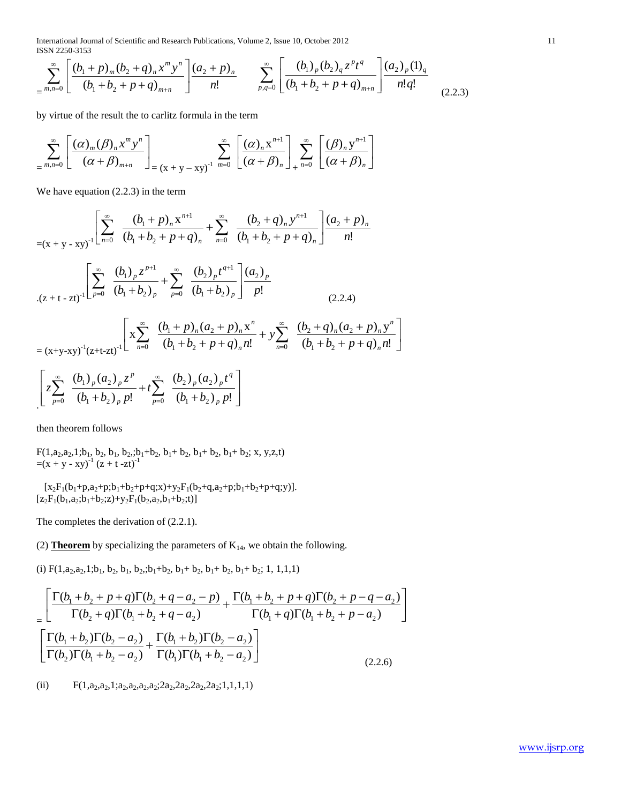International Journal of Scientific and Research Publications, Volume 2, Issue 10, October 2012 11 ISSN 2250-3153

$$
\sum_{m,n=0}^{\infty} \left[ \frac{(b_1 + p)_m (b_2 + q)_n x^m y^n}{(b_1 + b_2 + p + q)_{m+n}} \right] \frac{(a_2 + p)_n}{n!} \sum_{p,q=0}^{\infty} \left[ \frac{(b_1)_p (b_2)_q z^p t^q}{(b_1 + b_2 + p + q)_{m+n}} \right] \frac{(a_2)_p (1)_q}{n! q!} \tag{2.2.3}
$$

by virtue of the result the to carlitz formula in the term

$$
\sum_{m,n=0}^{\infty} \left[ \frac{(\alpha)_m (\beta)_n x^m y^n}{(\alpha + \beta)_{m+n}} \right]_{=(x+y-xy)^{-1}} \sum_{m=0}^{\infty} \left[ \frac{(\alpha)_n x^{n+1}}{(\alpha + \beta)_n} \right]_{+\infty}^{\infty} \left[ \frac{(\beta)_n y^{n+1}}{(\alpha + \beta)_n} \right]
$$

We have equation (2.2.3) in the term

$$
= (x + y - xy)^{-1} \left[ \sum_{n=0}^{\infty} \frac{(b_1 + p)_n x^{n+1}}{(b_1 + b_2 + p + q)_n} + \sum_{n=0}^{\infty} \frac{(b_2 + q)_n y^{n+1}}{(b_1 + b_2 + p + q)_n} \right] \frac{(a_2 + p)_n}{n!}
$$
  

$$
\cdot (z + t - zt)^{-1} \left[ \sum_{p=0}^{\infty} \frac{(b_1)_p z^{p+1}}{(b_1 + b_2)_p} + \sum_{p=0}^{\infty} \frac{(b_2)_p t^{q+1}}{(b_1 + b_2)_p} \right] \frac{(a_2)_p}{p!}
$$
  

$$
= (x + y - xy)^{-1} (z + t - zt)^{-1} \left[ x \sum_{n=0}^{\infty} \frac{(b_1 + p)_n (a_2 + p)_n x^n}{(b_1 + b_2 + p + q)_n n!} + y \sum_{n=0}^{\infty} \frac{(b_2 + q)_n (a_2 + p)_n y^n}{(b_1 + b_2 + p + q)_n n!} \right]
$$
  

$$
\left[ z \sum_{p=0}^{\infty} \frac{(b_1)_p (a_2)_p z^p}{(b_1 + b_2)_p p!} + t \sum_{p=0}^{\infty} \frac{(b_2)_p (a_2)_p t^q}{(b_1 + b_2)_p p!} \right]
$$

then theorem follows

 $F(1, a_2, a_2, 1; b_1, b_2, b_1, b_2; b_1+b_2, b_1+b_2, b_1+b_2, b_1+b_2; x, y, z, t)$  $=(x + y - xy)^{-1} (z + t - zt)^{-1}$ 

 $[x_2F_1(b_1+p,a_2+p;b_1+b_2+p+q;x)+y_2F_1(b_2+q,a_2+p;b_1+b_2+p+q;y)].$  $[z_2F_1(b_1,a_2;b_1+b_2;z)+y_2F_1(b_2,a_2,b_1+b_2;t)]$ 

The completes the derivation of (2.2.1).

(2) **Theorem** by specializing the parameters of  $K_{14}$ , we obtain the following.

(i)  $F(1, a_2, a_2, 1; b_1, b_2, b_1, b_2; b_1 + b_2, b_1 + b_2, b_1 + b_2, b_1 + b_2; 1, 1, 1, 1)$ 

$$
\frac{\left[\frac{\Gamma(b_1+b_2+p+q)\Gamma(b_2+q-a_2-p)}{\Gamma(b_2+q)\Gamma(b_1+b_2+q-a_2)}+\frac{\Gamma(b_1+b_2+p+q)\Gamma(b_2+p-q-a_2)}{\Gamma(b_1+q)\Gamma(b_1+b_2+p-a_2)}\right]}{\left[\frac{\Gamma(b_1+b_2)\Gamma(b_2-a_2)}{\Gamma(b_2)\Gamma(b_1+b_2-a_2)}+\frac{\Gamma(b_1+b_2)\Gamma(b_2-a_2)}{\Gamma(b_1)\Gamma(b_1+b_2-a_2)}\right]}
$$
(2.2.6)

(ii)  $F(1, a_2, a_2, 1; a_2, a_2, a_2, a_2, a_2, 2a_2, 2a_2, 2a_2, 1, 1, 1, 1)$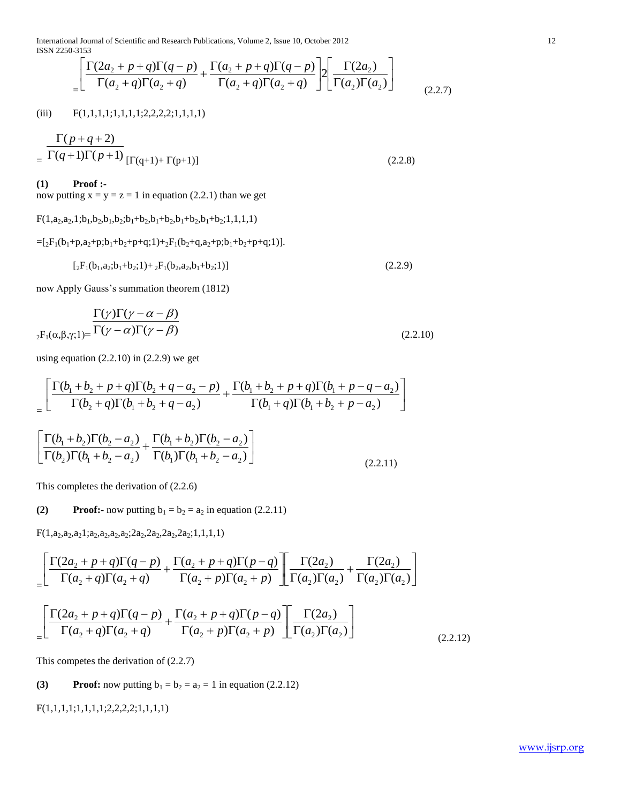International Journal of Scientific and Research Publications, Volume 2, Issue 10, October 2012 12 ISSN 2250-3153

$$
\frac{\left[\Gamma(2a_2+p+q)\Gamma(q-p)+\Gamma(a_2+p+q)\Gamma(q-p)\right]}{\Gamma(a_2+q)\Gamma(a_2+q)}\left[\Gamma\left(\frac{2a_2}{a_2}\right)\right]\left[\frac{\Gamma(2a_2)}{\Gamma(a_2)\Gamma(a_2)}\right]
$$
\n(2.2.7)

(iii)  $F(1,1,1,1,1,1,1,1,2,2,2,2,1,1,1,1)$ 

$$
= \frac{\Gamma(p+q+2)}{\Gamma(q+1)\Gamma(p+1)} \left[\Gamma(q+1) + \Gamma(p+1)\right]
$$
\n(2.2.8)

**(1) Proof :-**

now putting  $x = y = z = 1$  in equation (2.2.1) than we get

 $F(1,a_2,a_2,1;b_1,b_2,b_1,b_2;b_1+b_2,b_1+b_2,b_1+b_2;1,1,1,1)$ 

 $=[_{2}F_{1}(b_{1}+p,a_{2}+p;b_{1}+b_{2}+p+q;1)+_{2}F_{1}(b_{2}+q,a_{2}+p;b_{1}+b_{2}+p+q;1)].$ 

 $\left[{}_{2}F_{1}(b_{1},a_{2};b_{1}+b_{2};1)+{}_{2}F_{1}(b_{2},a_{2},b_{1}+b_{2};1)\right]$  (2.2.9)

now Apply Gauss's summation theorem (1812)

$$
\frac{\Gamma(\gamma)\Gamma(\gamma-\alpha-\beta)}{\Gamma(\gamma-\alpha)\Gamma(\gamma-\beta)}\n\frac{\Gamma(\gamma)\Gamma(\gamma-\alpha-\beta)}{\Gamma(\gamma-\alpha)\Gamma(\gamma-\beta)}\n\tag{2.2.10}
$$

 $\overline{a}$ 

using equation  $(2.2.10)$  in  $(2.2.9)$  we get

$$
= \left[ \frac{\Gamma(b_1 + b_2 + p + q)\Gamma(b_2 + q - a_2 - p)}{\Gamma(b_2 + q)\Gamma(b_1 + b_2 + q - a_2)} + \frac{\Gamma(b_1 + b_2 + p + q)\Gamma(b_1 + p - q - a_2)}{\Gamma(b_1 + q)\Gamma(b_1 + b_2 + p - a_2)} \right]
$$

$$
\left[ \frac{\Gamma(b_1 + b_2)\Gamma(b_2 - a_2)}{\Gamma(b_2)\Gamma(b_1 + b_2 - a_2)} + \frac{\Gamma(b_1 + b_2)\Gamma(b_2 - a_2)}{\Gamma(b_1)\Gamma(b_1 + b_2 - a_2)} \right]
$$
\n(2.2.11)

This completes the derivation of (2.2.6)

**(2) Proof:-** now putting  $b_1 = b_2 = a_2$  in equation (2.2.11)

 $F(1,a_2,a_2,a_21;a_2,a_2,a_2,a_2,2a_2,2a_2,2a_2,2a_2;1,1,1,1)$ 

$$
\begin{aligned}\n&= \left[ \frac{\Gamma(2a_2 + p + q)\Gamma(q - p)}{\Gamma(a_2 + q)\Gamma(a_2 + q)} + \frac{\Gamma(a_2 + p + q)\Gamma(p - q)}{\Gamma(a_2 + p)\Gamma(a_2 + p)} \right] \frac{\Gamma(2a_2)}{\Gamma(a_2)\Gamma(a_2)} + \frac{\Gamma(2a_2)}{\Gamma(a_2)\Gamma(a_2)} \\
&= \left[ \frac{\Gamma(2a_2 + p + q)\Gamma(q - p)}{\Gamma(a_2 + q)\Gamma(a_2 + q)} + \frac{\Gamma(a_2 + p + q)\Gamma(p - q)}{\Gamma(a_2 + p)\Gamma(a_2 + p)} \right] \frac{\Gamma(2a_2)}{\Gamma(a_2)\Gamma(a_2)}\n\end{aligned} \tag{2.2.12}
$$

This competes the derivation of (2.2.7)

# **(3) Proof:** now putting  $b_1 = b_2 = a_2 = 1$  in equation (2.2.12)

F(1,1,1,1;1,1,1,1;2,2,2,2;1,1,1,1)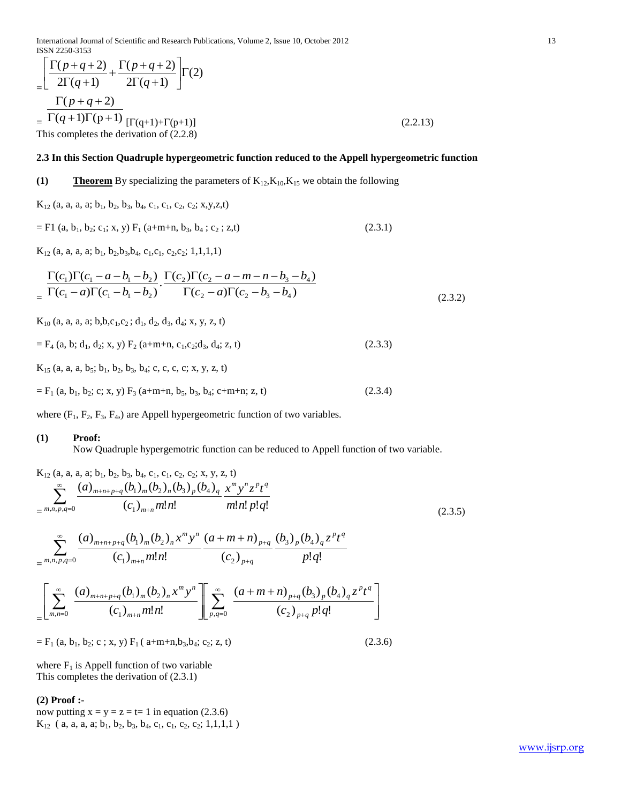International Journal of Scientific and Research Publications, Volume 2, Issue 10, October 2012 13 ISSN 2250-3153

$$
\begin{aligned}\n&= \left[ \frac{\Gamma(p+q+2)}{2\Gamma(q+1)} + \frac{\Gamma(p+q+2)}{2\Gamma(q+1)} \right] \Gamma(2) \\
&= \frac{\Gamma(p+q+2)}{\Gamma(q+1)\Gamma(p+1)} \\
&= \frac{\Gamma(p+q+2)}{[\Gamma(q+1)+\Gamma(p+1)]} \\
&= \text{This completes the derivation of (2.2.8)}\n\end{aligned}
$$
\n(2.2.13)

# **2.3 In this Section Quadruple hypergeometric function reduced to the Appell hypergeometric function**

# **(1) Theorem** By specializing the parameters of  $K_{12}$ ,  $K_{10}$ ,  $K_{15}$  we obtain the following

 $K_{12}$  (a, a, a, a; b<sub>1</sub>, b<sub>2</sub>, b<sub>3</sub>, b<sub>4</sub>, c<sub>1</sub>, c<sub>1</sub>, c<sub>2</sub>, c<sub>2</sub>; x,y,z,t)

$$
= F1 (a, b1, b2; c1; x, y) F1 (a+m+n, b3, b4; c2; z,t)
$$
 (2.3.1)

 $K_{12}$  (a, a, a, a; b<sub>1</sub>, b<sub>2</sub>, b<sub>3</sub>, b<sub>4</sub>, c<sub>1</sub>, c<sub>1</sub>, c<sub>2</sub>, c<sub>2</sub>; 1, 1, 1, 1)

$$
\frac{\Gamma(c_1)\Gamma(c_1 - a - b_1 - b_2)}{\Gamma(c_1 - a)\Gamma(c_1 - b_1 - b_2)} \cdot \frac{\Gamma(c_2)\Gamma(c_2 - a - m - n - b_3 - b_4)}{\Gamma(c_2 - a)\Gamma(c_2 - b_3 - b_4)}
$$
\n(2.3.2)

 $K_{10}$  (a, a, a, a; b,b,c<sub>1</sub>,c<sub>2</sub>; d<sub>1</sub>, d<sub>2</sub>, d<sub>3</sub>, d<sub>4</sub>; x, y, z, t)

 $=$  F<sub>4</sub> (a, b; d<sub>1</sub>, d<sub>2</sub>; x, y) F<sub>2</sub> (a+m+n, c<sub>1</sub>, c<sub>2</sub>;d<sub>3</sub>, d<sub>4</sub>; z, t) (2.3.3)

 $K_{15}$  (a, a, a, b<sub>5</sub>; b<sub>1</sub>, b<sub>2</sub>, b<sub>3</sub>, b<sub>4</sub>; c, c, c, c; x, y, z, t)

 $=$  F<sub>1</sub> (a, b<sub>1</sub>, b<sub>2</sub>; c; x, y) F<sub>3</sub> (a+m+n, b<sub>5</sub>, b<sub>3</sub>, b<sub>4</sub>; c+m+n; z, t) (2.3.4)

where  $(F_1, F_2, F_3, F_4)$  are Appell hypergeometric function of two variables.

#### **(1) Proof:**

Now Quadruple hypergemotric function can be reduced to Appell function of two variable.

$$
K_{12} (a, a, a, a; b_1, b_2, b_3, b_4, c_1, c_2, c_2; x, y, z, t)
$$
\n
$$
= \sum_{m,n,p,q=0}^{\infty} \frac{(a)_{m+n+p+q} (b_1)_m (b_2)_n (b_3)_p (b_4)_q x^m y^n z^p t^q}{(c_1)_{m+n} m! n!} \frac{m! n! p! q!}{m! n! p! q!}
$$
\n
$$
= \sum_{m,n,p,q=0}^{\infty} \frac{(a)_{m+n+p+q} (b_1)_m (b_2)_n x^m y^n}{(c_1)_{m+n} m! n!} \frac{(a+m+n)_{p+q}}{(c_2)_{p+q}} \frac{(b_3)_p (b_4)_q z^p t^q}{p! q!}
$$
\n
$$
= \left[ \sum_{m,n=0}^{\infty} \frac{(a)_{m+n+p+q} (b_1)_m (b_2)_n x^m y^n}{(c_1)_{m+n} m! n!} \right] \left[ \sum_{p,q=0}^{\infty} \frac{(a+m+n)_{p+q} (b_3)_p (b_4)_q z^p t^q}{(c_2)_{p+q} p! q!} \right]
$$
\n
$$
(c_2)_{p+q} (c_3)_{p+q} (c_4)
$$

 $=$  F<sub>1</sub> (a, b<sub>1</sub>, b<sub>2</sub>; c; x, y) F<sub>1</sub> ( a+m+n,b<sub>3</sub>,b<sub>4</sub>; c<sub>2</sub>; z, t) (2.3.6)

where  $F_1$  is Appell function of two variable This completes the derivation of (2.3.1)

# **(2) Proof :-**

now putting  $x = y = z = t = 1$  in equation (2.3.6)  $K_{12}$  ( a, a, a, a; b<sub>1</sub>, b<sub>2</sub>, b<sub>3</sub>, b<sub>4</sub>, c<sub>1</sub>, c<sub>1</sub>, c<sub>2</sub>, c<sub>2</sub>; 1,1,1,1)

www.ijsrp.org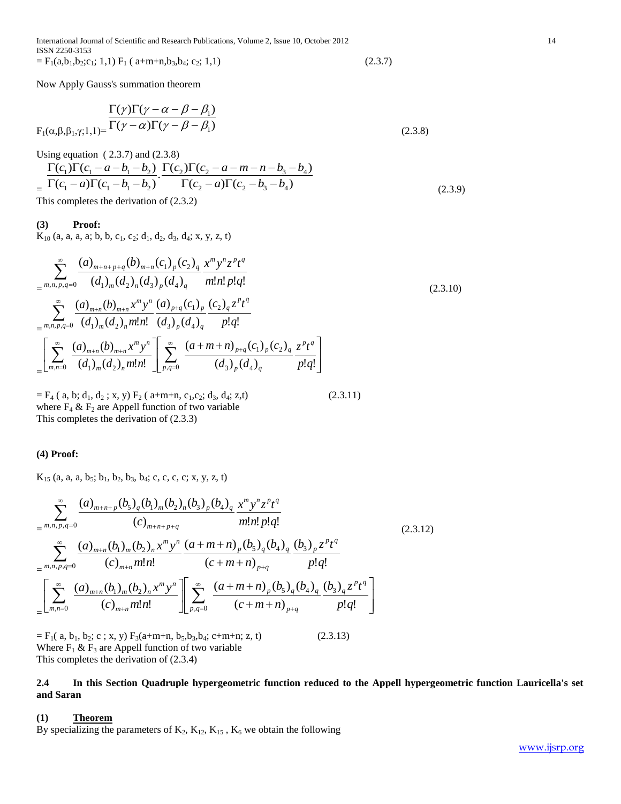International Journal of Scientific and Research Publications, Volume 2, Issue 10, October 2012 14 ISSN 2250-3153  $=$  F<sub>1</sub>(a,b<sub>1</sub>,b<sub>2</sub>;c<sub>1</sub>; 1,1) F<sub>1</sub> ( a+m+n,b<sub>3</sub>,b<sub>4</sub>; c<sub>2</sub>; 1,1) (2.3.7)

Now Apply Gauss's summation theorem

$$
\frac{\Gamma(\gamma)\Gamma(\gamma-\alpha-\beta-\beta_1)}{\Gamma(\gamma-\alpha)\Gamma(\gamma-\beta-\beta_1)}
$$
\n
$$
F_1(\alpha,\beta,\beta_1,\gamma;1,1)=\frac{\Gamma(\gamma)\Gamma(\gamma-\alpha-\beta-\beta_1)}{\Gamma(\gamma-\alpha)\Gamma(\gamma-\beta-\beta_1)}
$$
\n(2.3.8)

Using equation  $(2.3.7)$  and  $(2.3.8)$ 

$$
\frac{\Gamma(c_1)\Gamma(c_1 - a - b_1 - b_2)}{\Gamma(c_1 - a)\Gamma(c_1 - b_1 - b_2)} \cdot \frac{\Gamma(c_2)\Gamma(c_2 - a - m - n - b_3 - b_4)}{\Gamma(c_2 - a)\Gamma(c_2 - b_3 - b_4)}
$$
\nThis completes the derivation of (2.3.2) (2.3.9)

#### **(3) Proof:**

 $K_{10}$  (a, a, a, a; b, b, c<sub>1</sub>, c<sub>2</sub>; d<sub>1</sub>, d<sub>2</sub>, d<sub>3</sub>, d<sub>4</sub>; x, y, z, t)

$$
\sum_{m,n,p,q=0}^{\infty} \frac{(a)_{m+n+p+q}(b)_{m+n}(c_1)_p (c_2)_q x^m y^n z^p t^q}{(d_1)_m (d_2)_n (d_3)_p (d_4)_q} \frac{x^m y^n z^p t^q}{m! n! p! q!}
$$
\n
$$
= \sum_{m,n,p,q=0}^{\infty} \frac{(a)_{m+n}(b)_{m+n} x^m y^n}{(d_1)_m (d_2)_n m! n!} \frac{(a)_{p+q}(c_1)_p}{(d_3)_p (d_4)_q} \frac{(c_2)_q z^p t^q}{p! q!}
$$
\n
$$
= \left[ \sum_{m,n=0}^{\infty} \frac{(a)_{m+n}(b)_{m+n} x^m y^n}{(d_1)_m (d_2)_n m! n!} \right] \left[ \sum_{p,q=0}^{\infty} \frac{(a+m+n)_{p+q}(c_1)_p (c_2)_q z^p t^q}{(d_3)_p (d_4)_q} \frac{z^p t^q}{p! q!} \right]
$$
\n(2.3.10)

 $=$  F<sub>4</sub> ( a, b; d<sub>1</sub>, d<sub>2</sub>; x, y) F<sub>2</sub> ( a+m+n, c<sub>1</sub>, c<sub>2</sub>; d<sub>3</sub>, d<sub>4</sub>; z, t) (2.3.11) where  $F_4 \& F_2$  are Appell function of two variable This completes the derivation of (2.3.3)

#### **(4) Proof:**

 $K_{15}$  (a, a, a, b<sub>5</sub>; b<sub>1</sub>, b<sub>2</sub>, b<sub>3</sub>, b<sub>4</sub>; c, c, c, c; x, y, z, t)

$$
\sum_{m,n,p,q=0}^{\infty} \frac{(a)_{m+n+p}(b_5)_q (b_1)_m (b_2)_n (b_3)_p (b_4)_q x^m y^n z^p t^q}{(c)_{m+n+p+q}} \frac{m! n! p! q!}{m! n! p! q!}
$$
\n
$$
= \sum_{m,n,p,q=0}^{\infty} \frac{(a)_{m+n} (b_1)_m (b_2)_n x^m y^n}{(c)_{m+n} m! n!} \frac{(a+m+n)_p (b_5)_q (b_4)_q (b_3)_p z^p t^q}{(c+m+n)_{p+q}} \frac{p! q!}{p! q!}
$$
\n
$$
= \left[ \sum_{m,n=0}^{\infty} \frac{(a)_{m+n} (b_1)_m (b_2)_n x^m y^n}{(c)_{m+n} m! n!} \right] \left[ \sum_{p,q=0}^{\infty} \frac{(a+m+n)_p (b_5)_q (b_4)_q (b_3)_q z^p t^q}{(c+m+n)_{p+q}} \frac{p! q!}{p! q!} \right]
$$
\n
$$
(2.3.12)
$$

 $=$  F<sub>1</sub>( a, b<sub>1</sub>, b<sub>2</sub>; c; x, y) F<sub>3</sub>(a+m+n, b<sub>5</sub>, b<sub>3</sub>, b<sub>4</sub>; c+m+n; z, t) (2.3.13) Where  $F_1$  &  $F_3$  are Appell function of two variable This completes the derivation of (2.3.4)

**2.4 In this Section Quadruple hypergeometric function reduced to the Appell hypergeometric function Lauricella's set and Saran**

#### **(1) Theorem**

By specializing the parameters of  $K_2$ ,  $K_{12}$ ,  $K_{15}$ ,  $K_6$  we obtain the following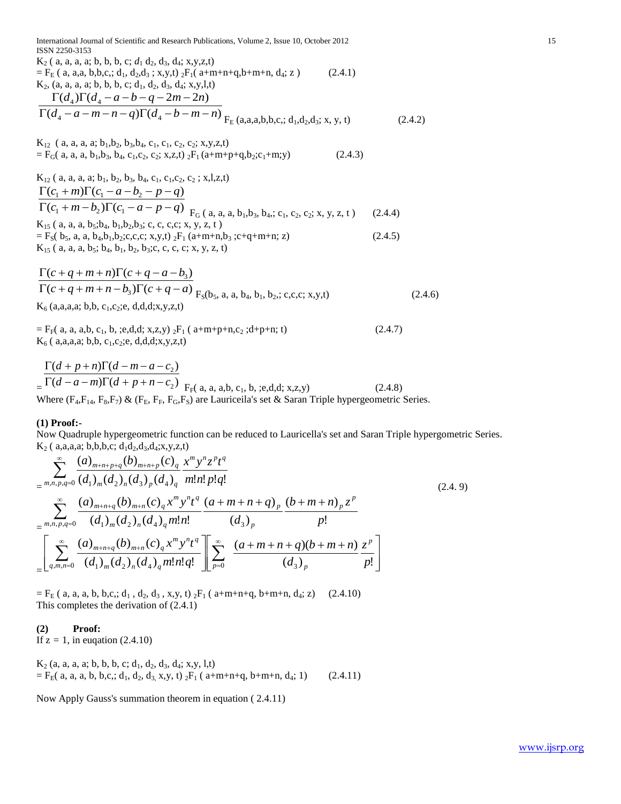| International Journal of Scientific and Research Publications, Volume 2, Issue 10, October 2012<br><b>ISSN 2250-3153</b>                                                                                                                                                        |         | 15 |
|---------------------------------------------------------------------------------------------------------------------------------------------------------------------------------------------------------------------------------------------------------------------------------|---------|----|
| $K_2$ ( a, a, a, a; b, b, b, c; $d_1$ d <sub>2</sub> , d <sub>3</sub> , d <sub>4</sub> ; x, y, z, t)<br>$=$ F <sub>E</sub> (a, a,a, b,b,c,; d <sub>1</sub> , d <sub>2</sub> ,d <sub>3</sub> ; x,y,t) <sub>2</sub> F <sub>1</sub> (a+m+n+q,b+m+n, d <sub>4</sub> ; z)<br>(2.4.1) |         |    |
| $K_2$ , (a, a, a, a; b, b, b, c; d <sub>1</sub> , d <sub>2</sub> , d <sub>3</sub> , d <sub>4</sub> ; x,y,l,t)<br>$\Gamma(d_4)\Gamma(d_4-a-b-q-2m-2n)$                                                                                                                           |         |    |
| $\Gamma(d_4 - a - m - n - q)\Gamma(d_4 - b - m - n)$ F <sub>F</sub> (a,a,a,b,b,c,; d <sub>1</sub> ,d <sub>2</sub> ,d <sub>3</sub> ; x, y, t)                                                                                                                                    | (2.4.2) |    |
| $K_1$ , (a, a, a, a; b <sub>1</sub> , b <sub>2</sub> , b <sub>3</sub> , b <sub>4</sub> , c <sub>1</sub> , c <sub>1</sub> , c <sub>2</sub> , c <sub>2</sub> ; x, y, z, t)                                                                                                        |         |    |
| $=$ F <sub>G</sub> ( a, a, a, b <sub>1</sub> , b <sub>3</sub> , b <sub>4</sub> , c <sub>1</sub> , c <sub>2</sub> , c <sub>2</sub> ; x, z, t) <sub>2</sub> F <sub>1</sub> (a+m+p+q, b <sub>2</sub> ; c <sub>1</sub> +m; y)<br>(2.4.3)                                            |         |    |
| $K_{12}$ ( a, a, a, a; b <sub>1</sub> , b <sub>2</sub> , b <sub>3</sub> , b <sub>4</sub> , c <sub>1</sub> , c <sub>1</sub> , c <sub>2</sub> , c <sub>2</sub> ; x, l, z, t)                                                                                                      |         |    |
| $\Gamma(c_1+m)\Gamma(c_1-a-b_2-p-q)$                                                                                                                                                                                                                                            |         |    |
| $\Gamma(c_1 + m - b_2)\Gamma(c_1 - a - p - q)$ $F_G(a, a, a, b_1, b_3, b_4, c_1, c_2, c_2; x, y, z, t)$                                                                                                                                                                         | (2.4.4) |    |
| $K_{15}$ ( a, a, a, b <sub>5</sub> ;b <sub>4</sub> , b <sub>1</sub> ,b <sub>2</sub> ,b <sub>3</sub> ; c, c, c,c; x, y, z, t)                                                                                                                                                    |         |    |
| $=$ F <sub>S</sub> (b <sub>5</sub> , a, a, b <sub>4</sub> ,b <sub>1</sub> ,b <sub>2</sub> ;c,c,c; x,y,t) <sub>2</sub> F <sub>1</sub> (a+m+n,b <sub>3</sub> ;c+q+m+n; z)                                                                                                         | (2.4.5) |    |
| $K_{15}$ ( a, a, a, b <sub>5</sub> ; b <sub>4</sub> , b <sub>1</sub> , b <sub>2</sub> , b <sub>3</sub> ;c, c, c, c; x, y, z, t)                                                                                                                                                 |         |    |
| $\Gamma(c+q+m+n)\Gamma(c+q-a-b)$                                                                                                                                                                                                                                                |         |    |
| $\Gamma(c+q+m+n-b_3)\Gamma(c+q-a)$ $F_5(b_5, a, a, b_4, b_1, b_2, c, c, c; x, y, t)$                                                                                                                                                                                            | (2.4.6) |    |
| $K_6$ (a,a,a,a; b,b, c <sub>1</sub> ,c <sub>2</sub> ;e, d,d,d;x,y,z,t)                                                                                                                                                                                                          |         |    |

$$
= F_{F}(a, a, a,b, c_{1}, b, \; ; e, d, d; x, z, y) \; {}_{2}F_{1}(a+m+p+n, c_{2}; d+p+n; t)
$$
\n
$$
K_{6}(a, a, a, a; b, b, c_{1}, c_{2}; e, d, d, d; x, y, z, t)
$$
\n
$$
(2.4.7)
$$

$$
\frac{\Gamma(d+p+n)\Gamma(d-m-a-c_2)}{\Gamma(d-a-m)\Gamma(d+p+n-c_2)}_{\text{F}_{\Gamma}(a, a, a, b, c_1, b, \text{ }; e, d, d; \text{ } x, z, y)}
$$
\n(2.4.8)  
\nWhere (F<sub>4</sub>,F<sub>14</sub>, F<sub>8</sub>,F<sub>7</sub>) & (F<sub>E</sub>, F<sub>F</sub>, F<sub>G</sub>,F<sub>S</sub>) are Laureila's set & Saran Triple hypergeometric Series.

#### **(1) Proof:-**

Now Quadruple hypergeometric function can be reduced to Lauricella's set and Saran Triple hypergometric Series.  $K_2$  ( a,a,a,a; b,b,b,c;  $d_1d_2, d_3, d_4; x, y, z, t$ )

$$
\sum_{m,n,p,q=0}^{\infty} \frac{(a)_{m+n+p+q}(b)_{m+n+p}(c)_q x^m y^n z^p t^q}{(d_1)_m (d_2)_n (d_3)_p (d_4)_q} \frac{x^m y^n z^p t^q}{m!n!p!q!} \n\sum_{\substack{m,n,p,q=0}}^{\infty} \frac{(a)_{m+n+q}(b)_{m+n}(c)_q x^m y^n t^q}{(d_1)_m (d_2)_n (d_4)_q m!n!} \frac{(a+m+n+q)_p}{(d_3)_p} \frac{(b+m+n)_p z^p}{p!} \n\sum_{\substack{m,n,p,q=0}}^{\infty} \frac{(a)_{m+n+q}(b)_{m+n}(c)_q x^m y^n t^q}{(d_1)_m (d_2)_n (d_4)_q m!n!q!} \left[ \sum_{p=0}^{\infty} \frac{(a+m+n+q)(b+m+n) z^p}{(d_3)_p} \frac{z^p}{p!} \right]
$$
\n(2.4.9)

 $=$  F<sub>E</sub> ( a, a, a, b, b,c,; d<sub>1</sub>, d<sub>2</sub>, d<sub>3</sub>, x,y, t) <sub>2</sub>F<sub>1</sub> ( a+m+n+q, b+m+n, d<sub>4</sub>; z) (2.4.10) This completes the derivation of (2.4.1)

# **(2) Proof:**

If  $z = 1$ , in eugation  $(2.4.10)$ 

$$
K_2 (a, a, a, a; b, b, c; d_1, d_2, d_3, d_4; x, y, l, t)
$$
  
=  $F_E(a, a, a, b, b, c; d_1, d_2, d_3, x, y, t) {}_2F_1 (a+m+n+q, b+m+n, d_4; 1)$  (2.4.11)

Now Apply Gauss's summation theorem in equation ( 2.4.11)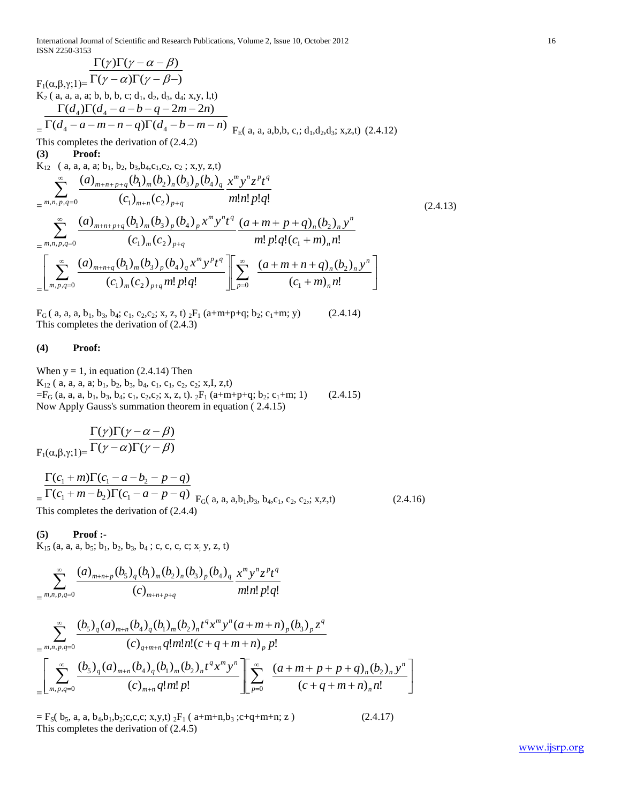International Journal of Scientific and Research Publications, Volume 2, Issue 10, October 2012 16 ISSN 2250-3153

$$
\frac{\Gamma(\gamma)\Gamma(\gamma-\alpha-\beta)}{\Gamma(\gamma-\alpha)\Gamma(\gamma-\beta-)}\nK_2 (a, a, a, a, b, b, b, c; d_1, d_2, d_3, d_4; x, y, l, t)\n\frac{\Gamma(d_4)\Gamma(d_4-a-b-q-2m-2n)}{\Gamma(d_4-a-m-n-q)\Gamma(d_4-b-m-n)}\n\frac{\Gamma(d_4)\Gamma(d_4-a-b-q-2m-2n)}{\Gamma(d_4-a-m-n-q)\Gamma(d_4-b-m-n)}\nF_E(a, a, a, b, b, c; d_1, d_2, d_3; x, z, t) (2.4.12)\nThis completes the derivation of (2.4.2)\n(3) Proof:\nK_{12} (a, a, a, a; b_1, b_2, b_3, b_4, c_1, c_2, c_2; x, y, z, t)\n\sum_{m,n,p,q=0}^{\infty} \frac{(a)_{m+n+p+q}(b_1)_m(b_2)_n(b_3)_p(b_4)_q}{(c_1)_{m+n}(c_2)_{p+q}}\n\frac{m!n!p!q!}{m!n!p!q!}\n\sum_{m,n,p,q=0}^{\infty} \frac{(a)_{m+n+p+q}(b_1)_m(b_3)_p(b_4)_p x^m y^n t^q}{(c_1)_m(c_2)_{p+q}}\n\frac{m!p!q!(c_1+m)_n!}{m!p!q!(c_1+m)_n!}\n\sum_{m,p,q=0}^{\infty} \frac{(a)_{m+n+q}(b_1)_m(b_3)_p(b_4)_q x^m y^p t^q}{(c_1)_m(c_2)_{p+q}m!p!q!}\n\sum_{p=0}^{\infty} \frac{(a+m+n+q)_n(b_2)_n y^n}{(c_1+m)_n n!}\n\end{aligned} (2.4.13)
$$

 $F_G$  ( a, a, a, b<sub>1</sub>, b<sub>3</sub>, b<sub>4</sub>; c<sub>1</sub>, c<sub>2</sub>, c<sub>2</sub>; x, z, t) <sub>2</sub> $F_1$  (a+m+p+q; b<sub>2</sub>; c<sub>1</sub>+m; y) (2.4.14) This completes the derivation of (2.4.3)

### **(4) Proof:**

When  $y = 1$ , in equation (2.4.14) Then  $K_{12}$  ( a, a, a, a; b<sub>1</sub>, b<sub>2</sub>, b<sub>3</sub>, b<sub>4</sub>, c<sub>1</sub>, c<sub>1</sub>, c<sub>2</sub>, c<sub>2</sub>; x,I, z,t)  $=$ F<sub>G</sub> (a, a, a, b<sub>1</sub>, b<sub>3</sub>, b<sub>4</sub>; c<sub>1</sub>, c<sub>2</sub>, c<sub>2</sub>; x, z, t). <sub>2</sub>F<sub>1</sub> (a+m+p+q; b<sub>2</sub>; c<sub>1</sub>+m; 1) (2.4.15) Now Apply Gauss's summation theorem in equation ( 2.4.15)

$$
\frac{\Gamma(\gamma)\Gamma(\gamma-\alpha-\beta)}{\Gamma(\gamma-\alpha)\Gamma(\gamma-\beta)}
$$
  
F<sub>1</sub>( $\alpha, \beta, \gamma$ ;1)=

$$
\frac{\Gamma(c_1 + m)\Gamma(c_1 - a - b_2 - p - q)}{\Gamma(c_1 + m - b_2)\Gamma(c_1 - a - p - q)}_{\text{This completes the derivation of (2.4.4)}} F_G(a, a, a, b_1, b_3, b_4, c_1, c_2, c_2; x, z, t)
$$
\n(2.4.16)

#### **(5) Proof :-**

 $K_{15}$  (a, a, a, b<sub>5</sub>; b<sub>1</sub>, b<sub>2</sub>, b<sub>3</sub>, b<sub>4</sub>; c, c, c, c; x<sub>i</sub> y, z, t)

$$
\sum_{m,n,p,q=0}^{\infty} \frac{(a)_{m+n+p}(b_5)_q (b_1)_m (b_2)_n (b_3)_p (b_4)_q}{(c)_{m+n+p+q}} \frac{x^m y^n z^p t^q}{m! n! p! q!}
$$

$$
\sum_{m,n,p,q=0}^{\infty} \frac{(b_{5})_{q}(a)_{m+n}(b_{4})_{q}(b_{1})_{m}(b_{2})_{n}t^{q}x^{m}y^{n}(a+m+n)_{p}(b_{3})_{p}z^{q}}{(c)_{q+m+n}q!m!n!(c+q+m+n)_{p}p!}\n\n=\n\left[\sum_{m,p,q=0}^{\infty} \frac{(b_{5})_{q}(a)_{m+n}(b_{4})_{q}(b_{1})_{m}(b_{2})_{n}t^{q}x^{m}y^{n}}{(c)_{m+n}q!m!p!}\n\right]\n\sum_{p=0}^{\infty} \frac{(a+m+p+p+q)_{n}(b_{2})_{n}y^{n}}{(c+q+m+n)_{n}n!}\n\right]
$$

 $=$  F<sub>S</sub>( b<sub>5</sub>, a, a, b<sub>4</sub>, b<sub>1</sub>, b<sub>2</sub>;c,c,c; x,y,t) <sub>2</sub>F<sub>1</sub> ( a+m+n, b<sub>3</sub> ;c+q+m+n; z ) (2.4.17) This completes the derivation of (2.4.5)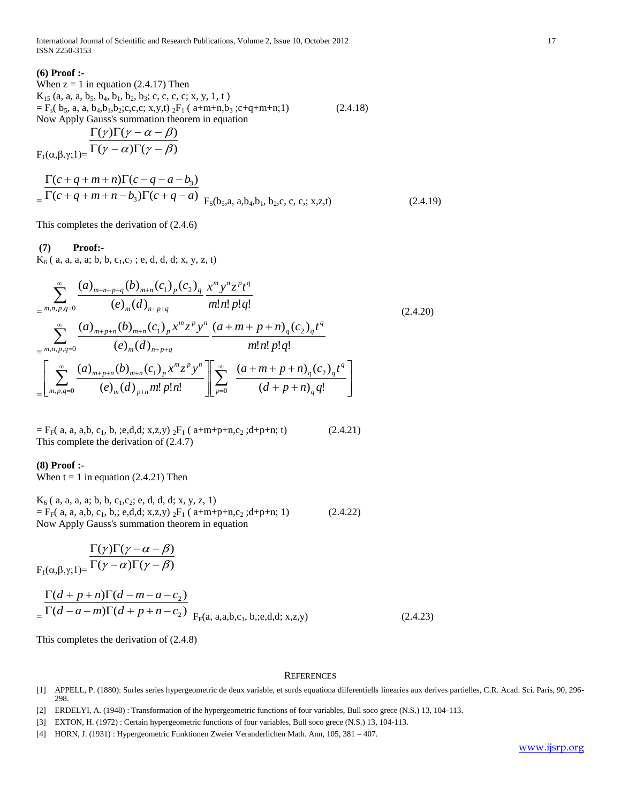International Journal of Scientific and Research Publications, Volume 2, Issue 10, October 2012 17 ISSN 2250-3153

#### **(6) Proof :-**

When  $z = 1$  in equation (2.4.17) Then  $K_{15}$  (a, a, a, b<sub>5</sub>, b<sub>4</sub>, b<sub>1</sub>, b<sub>2</sub>, b<sub>3</sub>; c, c, c, c; x, y, 1, t)  $=$  F<sub>s</sub>( b<sub>5</sub>, a, a, b<sub>4</sub>, b<sub>1</sub>, b<sub>2</sub>; c, c, c; x, y, t) <sub>2</sub>F<sub>1</sub> ( a+m+n, b<sub>3</sub> ; c+q+m+n;1) (2.4.18) Now Apply Gauss's summation theorem in equation

$$
\frac{\Gamma(\gamma)\Gamma(\gamma-\alpha-\beta)}{\Gamma(\alpha,\beta,\gamma;1)=\Gamma(\gamma-\alpha)\Gamma(\gamma-\beta)}
$$

$$
= \frac{\Gamma(c+q+m+n)\Gamma(c-q-a-b_3)}{\Gamma(c+q+m+n-b_3)\Gamma(c+q-a)} F_S(b_5, a, a, b_4, b_1, b_2, c, c, c; x, z, t)
$$
\n(2.4.19)

This completes the derivation of (2.4.6)

### **(7) Proof:-**

 $K_6$  ( a, a, a, a; b, b, c<sub>1</sub>,c<sub>2</sub>; e, d, d, d; x, y, z, t)

$$
\sum_{m,n,p,q=0}^{\infty} \frac{(a)_{m+n+p+q}(b)_{m+n}(c_1)_p(c_2)_q x^m y^n z^p t^q}{(e)_m (d)_{n+p+q}} \frac{m! n! p! q!}{m! n! p! q!} \n= \sum_{m,n,p,q=0}^{\infty} \frac{(a)_{m+p+n}(b)_{m+n}(c_1)_p x^m z^p y^n}{(e)_m (d)_{n+p+q}} \frac{(a+m+p+n)_q(c_2)_q t^q}{m! n! p! q!} \n= \left[ \sum_{m,p,q=0}^{\infty} \frac{(a)_{m+p+n}(b)_{m+n}(c_1)_p x^m z^p y^n}{(e)_m (d)_{p+n} m! p! n!} \right] \sum_{p=0}^{\infty} \frac{(a+m+p+n)_q(c_2)_q t^q}{(d+p+n)_q q!}
$$
\n(2.4.20)

 $=$  F<sub>F</sub>( a, a, a,b, c<sub>1</sub>, b, ;e,d,d; x,z,y) <sub>2</sub>F<sub>1</sub> ( a+m+p+n,c<sub>2</sub> ;d+p+n; t) (2.4.21) This complete the derivation of (2.4.7)

#### **(8) Proof :-**

When  $t = 1$  in equation (2.4.21) Then

$$
K_6 (a, a, a, a; b, b, c_1, c_2; e, d, d, d; x, y, z, 1)
$$
  
=  $F_F(a, a, a, b, c_1, b; e, d, d; x, z, y) {}_2F_1 (a+m+p+n, c_2; d+p+n; 1)$  (2.4.22)  
Now Apply Gauss's summation theorem in equation

$$
\frac{\Gamma(\gamma)\Gamma(\gamma-\alpha-\beta)}{\Gamma(\gamma-\alpha)\Gamma(\gamma-\beta)}
$$
  
F<sub>1</sub>( $\alpha, \beta, \gamma$ ;1)= $\frac{\Gamma(\gamma-\alpha)\Gamma(\gamma-\beta)}{\Gamma(\gamma-\alpha)\Gamma(\gamma-\beta)}$ 

$$
= \frac{\Gamma(d+p+n)\Gamma(d-m-a-c_2)}{\Gamma(d-a-m)\Gamma(d+p+n-c_2)} F_{F}(a, a,a,b,c_1,b,c,d,d;x,z,y)
$$
 (2.4.23)

This completes the derivation of (2.4.8)

#### **REFERENCES**

- [1] APPELL, P. (1880): Surles series hypergeometric de deux variable, et surds equationa diiferentiells linearies aux derives partielles, C.R. Acad. Sci. Paris, 90, 296- 298.
- [2] ERDELYI, A. (1948) : Transformation of the hypergeometric functions of four variables, Bull soco grece (N.S.) 13, 104-113.
- [3] EXTON, H. (1972) : Certain hypergeometric functions of four variables, Bull soco grece (N.S.) 13, 104-113.

<sup>[4]</sup> HORN, J. (1931) : Hypergeometric Funktionen Zweier Veranderlichen Math. Ann, 105, 381 – 407.